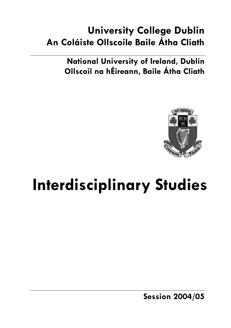# **University College Dublin An Coláiste Ollscoile Baile Átha Cliath**

**National University of Ireland, Dublin Ollscoil na hÉireann, Baile Átha Cliath** 



# **Interdisciplinary Studies**

**Session 2004/05**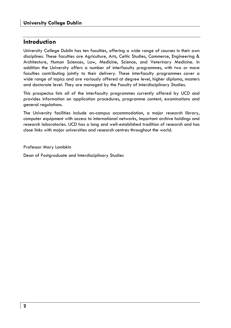## **Introduction**

University College Dublin has ten faculties, offering a wide range of courses in their own disciplines. These faculties are Agriculture, Arts, Celtic Studies, Commerce, Engineering & Architecture, Human Sciences, Law, Medicine, Science, and Veterinary Medicine. In addition the University offers a number of interfaculty programmes, with two or more faculties contributing jointly to their delivery. These interfaculty programmes cover a wide range of topics and are variously offered at degree level, higher diploma, masters and doctorate level. They are managed by the Faculty of Interdisciplinary Studies.

This prospectus lists all of the interfaculty programmes currently offered by UCD and provides information on application procedures, programme content, examinations and general regulations.

The University facilities include on-campus accommodation, a major research library, computer equipment with access to international networks, important archive holdings and research laboratories. UCD has a long and well-established tradition of research and has close links with major universities and research centres throughout the world.

Professor Mary Lambkin

Dean of Postgraduate and Interdisciplinary Studies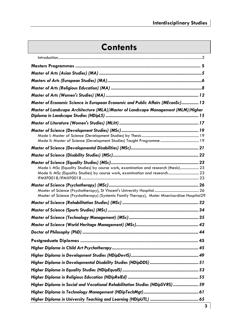# **Contents**

| Master of Economic Science in European Economic and Public Affairs (MEconSc) 13                                                                                    |  |
|--------------------------------------------------------------------------------------------------------------------------------------------------------------------|--|
| Master of Landscape Architecture (MLA)/Master of Landscape Management (MLM)/Higher                                                                                 |  |
|                                                                                                                                                                    |  |
|                                                                                                                                                                    |  |
|                                                                                                                                                                    |  |
|                                                                                                                                                                    |  |
| Mode I: MSc (Equality Studies) by course work, examination and research (thesis) 23<br>Mode II: MSc (Equality Studies) by course work, examination and research 23 |  |
| Master of Science (Psychotherapy) (Systemic Family Therapy), Mater Misericordiae Hospital29                                                                        |  |
|                                                                                                                                                                    |  |
|                                                                                                                                                                    |  |
|                                                                                                                                                                    |  |
|                                                                                                                                                                    |  |
|                                                                                                                                                                    |  |
|                                                                                                                                                                    |  |
|                                                                                                                                                                    |  |
|                                                                                                                                                                    |  |
|                                                                                                                                                                    |  |
|                                                                                                                                                                    |  |
|                                                                                                                                                                    |  |
| Higher Diploma in Social and Vocational Rehabilitation Studies (HDipSVRS)  59                                                                                      |  |
|                                                                                                                                                                    |  |
|                                                                                                                                                                    |  |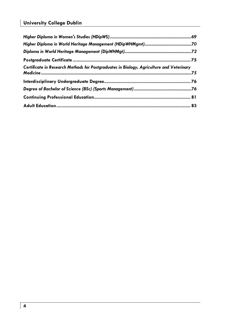## **University College Dublin**

| Certificate in Research Methods for Postgraduates in Biology, Agriculture and Veterinary |  |
|------------------------------------------------------------------------------------------|--|
|                                                                                          |  |
|                                                                                          |  |
|                                                                                          |  |
|                                                                                          |  |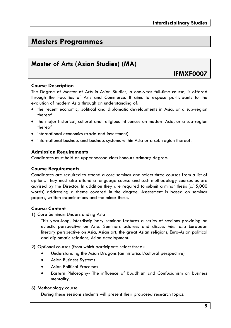## **Masters Programmes**

## **Master of Arts (Asian Studies) (MA)**

## **IFMXF0007**

## **Course Description**

The Degree of Master of Arts in Asian Studies, a one-year full-time course, is offered through the Faculties of Arts and Commerce. It aims to expose participants to the evolution of modern Asia through an understanding of:

- the recent economic, political and diplomatic developments in Asia, or a sub-region thereof
- the major historical, cultural and religious influences on modern Asia, or a sub-region thereof
- international economics (trade and investment)
- international business and business systems within Asia or a sub-region thereof.

## **Admission Requirements**

Candidates must hold an upper second class honours primary degree.

## **Course Requirements**

Candidates are required to attend a core seminar and select three courses from a list of options. They must also attend a language course and such methodology courses as are advised by the Director. In addition they are required to submit a minor thesis (c.15,000 words) addressing a theme covered in the degree. Assessment is based on seminar papers, written examinations and the minor thesis.

## **Course Content**

1) Core Seminar: Understanding Asia

This year-long, interdisciplinary seminar features a series of sessions providing an eclectic perspective on Asia. Seminars address and discuss *inter alia* European literary perspective on Asia, Asian art, the great Asian religions, Euro-Asian political and diplomatic relations, Asian development.

2) Optional courses (from which participants select three):

- Understanding the Asian Dragons (an historical/cultural perspective)
- Asian Business Systems
- Asian Political Processes
- Eastern Philosophy- The influence of Buddhism and Confucianism on business mentality.

## 3) Methodology course

During these sessions students will present their proposed research topics.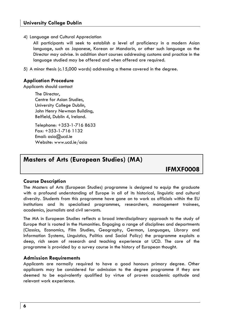## 4) Language and Cultural Appreciation

All participants will seek to establish a level of proficiency in a modern Asian language, such as Japanese, Korean or Mandarin, or other such language as the Director may advise. In addition short courses addressing customs and practice in the language studied may be offered and when offered are required.

5) A minor thesis (c.15,000 words) addressing a theme covered in the degree.

## **Application Procedure**

Applicants should contact

The Director, Centre for Asian Studies, University College Dublin, John Henry Newman Building, Belfield, Dublin 4, Ireland.

Telephone: +353-1-716 8633 Fax: +353-1-716 1132 Email: asia@ucd.ie Website: www.ucd.ie/asia

## **Masters of Arts (European Studies) (MA)**

**IFMXF0008** 

## **Course Description**

The Masters of Arts (European Studies) programme is designed to equip the graduate with a profound understanding of Europe in all of its historical, linguistic and cultural diversity. Students from this programme have gone on to work as officials within the EU institutions and its specialised programmes, researchers, management trainees, academics, journalists and civil servants.

The MA in European Studies reflects a broad interdisciplinary approach to the study of Europe that is rooted in the Humanities. Engaging a range of disciplines and departments (Classics, Economics, Film Studies, Geography, German, Languages, Library and Information Systems, Linguistics, Politics and Social Policy) the programme exploits a deep, rich seam of research and teaching experience at UCD. The core of the programme is provided by a survey course in the history of European thought.

## **Admission Requirements**

Applicants are normally required to have a good honours primary degree. Other applicants may be considered for admission to the degree programme if they are deemed to be equivalently qualified by virtue of proven academic aptitude and relevant work experience.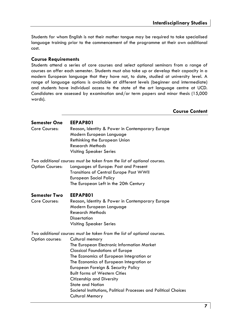Students for whom English is not their mother tongue may be required to take specialised language training prior to the commencement of the programme at their own additional cost.

## **Course Requirements**

Students attend a series of core courses and select optional seminars from a range of courses on offer each semester. Students must also take up or develop their capacity in a modern European language that they have not, to date, studied at university level. A range of language options is available at different levels (beginner and intermediate) and students have individual access to the state of the art language centre at UCD. Candidates are assessed by examination and/or term papers and minor thesis (15,000 words).

**Course Content** 

| <b>Semester One</b><br>Core Courses: | EEPAP801<br>Reason, Identity & Power in Contemporary Europe<br>Modern European Language<br>Rethinking the European Union<br><b>Research Methods</b><br><b>Visiting Speaker Series</b>                                                                                                                                                                                                                                                                                                                   |
|--------------------------------------|---------------------------------------------------------------------------------------------------------------------------------------------------------------------------------------------------------------------------------------------------------------------------------------------------------------------------------------------------------------------------------------------------------------------------------------------------------------------------------------------------------|
| <b>Option Courses:</b>               | Two additional courses must be taken from the list of optional courses.<br>Languages of Europe: Past and Present<br>Transitions of Central Europe Post WWII<br><b>European Social Policy</b><br>The European Left in the 20th Century                                                                                                                                                                                                                                                                   |
| <b>Semester Two</b><br>Core Courses: | EEPAP801<br>Reason, Identity & Power in Contemporary Europe<br>Modern European Language<br><b>Research Methods</b><br><b>Dissertation</b><br><b>Visiting Speaker Series</b>                                                                                                                                                                                                                                                                                                                             |
| Option courses:                      | Two additional courses must be taken from the list of optional courses.<br>Cultural memory<br>The European Electronic Information Market<br><b>Classical Foundations of Europe</b><br>The Economics of European Integration or<br>The Economics of European Integration or<br>European Foreign & Security Policy<br><b>Built forms of Western Cities</b><br>Citizenship and Diversity<br><b>State and Nation</b><br>Societal Institutions, Political Processes and Political Choices<br>Cultural Memory |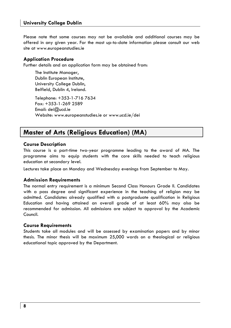## **University College Dublin**

Please note that some courses may not be available and additional courses may be offered in any given year. For the most up-to-date information please consult our web site at www.europeanstudies.ie

## **Application Procedure**

Further details and an application form may be obtained from:

The Institute Manager, Dublin European Institute, University College Dublin, Belfield, Dublin 4, Ireland.

Telephone: +353-1-716 7634 Fax: +353-1-269 2589 Email: dei@ucd.ie Website: www.europeanstudies.ie or www.ucd.ie/dei

## **Master of Arts (Religious Education) (MA)**

## **Course Description**

This course is a part-time two-year programme leading to the award of MA. The programme aims to equip students with the core skills needed to teach religious education at secondary level.

Lectures take place on Monday and Wednesday evenings from September to May.

## **Admission Requirements**

The normal entry requirement is a minimum Second Class Honours Grade II. Candidates with a pass degree and significant experience in the teaching of religion may be admitted. Candidates already qualified with a postgraduate qualification in Religious Education and having attained an overall grade of at least 60% may also be recommended for admission. All admissions are subject to approval by the Academic Council.

#### **Course Requirements**

Students take all modules and will be assessed by examination papers and by minor thesis. The minor thesis will be maximum 25,000 words on a theological or religious educational topic approved by the Department.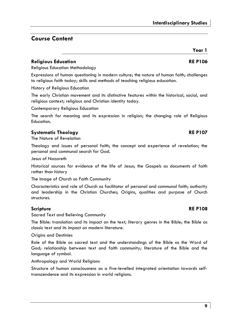## **Course Content**

## **Religious Education RE P106**

Religious Education Methodology

Expressions of human questioning in modern culture; the nature of human faith; challenges to religious faith today; skills and methods of teaching religious education.

History of Religious Education

The early Christian movement and its distinctive features within the historical, social, and religious context; religious and Christian identity today.

Contemporary Religious Education

The search for meaning and its expression in religion; the changing role of Religious Education.

## **Systematic Theology RE P107**

The Nature of Revelation

Theology and issues of personal faith; the concept and experience of revelation; the personal and communal search for God.

Jesus of Nazareth

Historical sources for evidence of the life of Jesus; the Gospels as documents of faith rather than history

The Image of Church as Faith Community

Characteristics and role of Church as facilitator of personal and communal faith; authority and leadership in the Christian Churches; Origins, qualities and purpose of Church structures.

## **Scripture** RE P108

Sacred Text and Believing Community

The Bible: translation and its impact on the text; literary genres in the Bible; the Bible as classic text and its impact on modern literature.

Origins and Destinies

Role of the Bible as sacred text and the understandings of the Bible as the Word of God; relationship between text and faith community; literature of the Bible and the language of symbol.

Anthropology and World Religions

Structure of human consciousness as a five-levelled integrated orientation towards selftranscendence and its expression in world religions.

# **Year 1**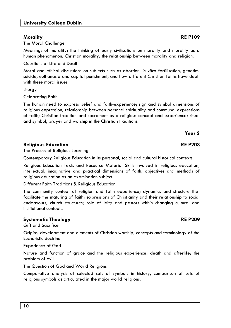## **Morality RE P109**

The Moral Challenge

Meanings of morality; the thinking of early civilisations on morality and morality as a human phenomenon; Christian morality; the relationship between morality and religion.

Questions of Life and Death

Moral and ethical discussions on subjects such as abortion, *in vitro* fertilisation, genetics, suicide, euthanasia and capital punishment, and how different Christian faiths have dealt with these moral issues.

**Liturav** 

Celebrating Faith

The human need to express belief and faith-experience; sign and symbol dimensions of religious expression; relationship between personal spirituality and communal expressions of faith; Christian tradition and sacrament as a religious concept and experience; ritual and symbol, prayer and worship in the Christian traditions.

## **Religious Education RE P208**

The Process of Religious Learning

Contemporary Religious Education in its personal, social and cultural historical contexts.

Religious Education Texts and Resource Material Skills involved in religious education; intellectual, imaginative and practical dimensions of faith; objectives and methods of religious education as an examination subject.

Different Faith Traditions & Religious Education

The community context of religion and faith experience; dynamics and structure that facilitate the maturing of faith; expressions of Christianity and their relationship to social endeavours; church structures; role of laity and pastors within changing cultural and institutional contexts.

## **Systematic Theology RE P209**

Gift and Sacrifice

Origins, development and elements of Christian worship; concepts and terminology of the Eucharistic doctrine.

Experience of God

Nature and function of grace and the religious experience; death and afterlife; the problem of evil.

The Question of God and World Religions

Comparative analysis of selected sets of symbols in history, comparison of sets of religious symbols as articulated in the major world religions.

**Year 2**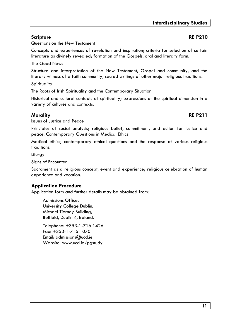Questions on the New Testament

Concepts and experiences of revelation and inspiration; criteria for selection of certain literature as divinely revealed; formation of the Gospels, oral and literary form.

The Good News

Structure and interpretation of the New Testament, Gospel and community, and the literary witness of a faith community; sacred writings of other major religious traditions.

**Spirituality** 

The Roots of Irish Spirituality and the Contemporary Situation

Historical and cultural contexts of spirituality; expressions of the spiritual dimension in a variety of cultures and contexts.

## **Morality RE P211**

Issues of Justice and Peace

Principles of social analysis; religious belief, commitment, and action for justice and peace. Contemporary Questions in Medical Ethics

Medical ethics; contemporary ethical questions and the response of various religious traditions.

Liturgy

Signs of Encounter

Sacrament as a religious concept, event and experience; religious celebration of human experience and vocation.

## **Application Procedure**

Application form and further details may be obtained from:

Admissions Office, University College Dublin, Michael Tierney Building, Belfield, Dublin 4, Ireland.

Telephone: +353-1-716 1426 Fax: +353-1-716 1070 Email: admissions@ucd.ie Website: www.ucd.ie/pgstudy

## **Scripture** RE P210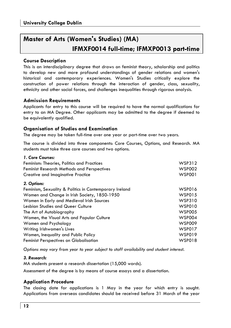## **Master of Arts (Women's Studies) (MA) IFMXF0014 full-time; IFMXP0013 part-time**

## **Course Description**

This is an interdisciplinary degree that draws on feminist theory, scholarship and politics to develop new and more profound understandings of gender relations and women's historical and contemporary experiences. Women's Studies critically explore the construction of power relations through the interaction of gender, class, sexuality, ethnicity and other social forces, and challenges inequalities through rigorous analysis.

## **Admission Requirements**

Applicants for entry to this course will be required to have the normal qualifications for entry to an MA Degree. Other applicants may be admitted to the degree if deemed to be equivalently qualified.

## **Organisation of Studies and Examination**

The degree may be taken full-time over one year or part-time over two years.

The course is divided into three components: Core Courses, Options, and Research. MA students must take three core courses and two options.

| 1. Core Courses:                                       |               |
|--------------------------------------------------------|---------------|
| Feminism: Theories, Politics and Practices             | WSP312        |
| <b>Feminist Research Methods and Perspectives</b>      | <b>WSP002</b> |
| Creative and Imaginative Practice                      | <b>WSP001</b> |
| 2. Options:                                            |               |
| Feminism, Sexuality & Politics in Contemporary Ireland | WSP016        |
| Women and Change in Irish Society, 1850-1950           | <b>WSP015</b> |
| Women in Early and Medieval Irish Sources              | <b>WSP310</b> |
| Lesbian Studies and Queer Culture                      | <b>WSP010</b> |
| The Art of Autobiography                               | <b>WSP005</b> |
| Women, the Visual Arts and Popular Culture             | <b>WSP004</b> |
| Women and Psychology                                   | <b>WSP009</b> |
| Writing Irishwomen's Lives                             | <b>WSP017</b> |
| Women, Inequality and Public Policy                    | WSP019        |
| <b>Feminist Perspectives on Globalisation</b>          | WSP018        |

*Options may vary from year to year subject to staff availability and student interest.* 

## *3. Research:*

MA students present a research dissertation (15,000 words).

Assessment of the degree is by means of course essays and a dissertation.

## **Application Procedure**

The closing date for applications is 1 May in the year for which entry is sought. Applications from overseas candidates should be received before 31 March of the year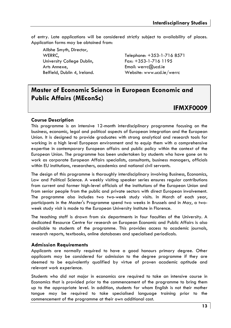of entry. Late applications will be considered strictly subject to availability of places. Application forms may be obtained from:

Ailbhe Smyth, Director, University College Dublin, Fax: +353-1-716 1195 Arts Annexe, **Email:** werrc@ucd.ie

WERRC, Telephone: +353-1-716 8571 Belfield, Dublin 4, Ireland. Website: www.ucd.ie/werrc

## **Master of Economic Science in European Economic and Public Affairs (MEconSc)**

## **IFMXF0009**

## **Course Description**

This programme is an intensive 12-month interdisciplinary programme focusing on the business, economic, legal and political aspects of European integration and the European Union. It is designed to provide graduates with strong analytical and research tools for working in a high level European environment and to equip them with a comprehensive expertise in contemporary European affairs and public policy within the context of the European Union. The programme has been undertaken by students who have gone on to work as corporate European Affairs specialists, consultants, business managers, officials within EU institutions, researchers, academics and national civil servants.

The design of this programme is thoroughly interdisciplinary involving Business, Economics, Law and Political Science. A weekly visiting speaker series ensures regular contributions from current and former high-level officials of the institutions of the European Union and from senior people from the public and private sectors with direct European involvement. The programme also includes two two-week study visits. In March of each year, participants in the Master's Programme spend two weeks in Brussels and in May, a twoweek study visit is made to the European University Institute in Florence.

The teaching staff is drawn from six departments in four faculties of the University. A dedicated Resource Centre for research on European Economic and Public Affairs is also available to students of the programme. This provides access to academic journals, research reports, textbooks, online databases and specialised periodicals.

## **Admission Requirements**

Applicants are normally required to have a good honours primary degree. Other applicants may be considered for admission to the degree programme if they are deemed to be equivalently qualified by virtue of proven academic aptitude and relevant work experience.

Students who did not major in economics are required to take an intensive course in Economics that is provided prior to the commencement of the programme to bring them up to the appropriate level. In addition, students for whom English is not their mother tongue may be required to take specialised language training prior to the commencement of the programme at their own additional cost.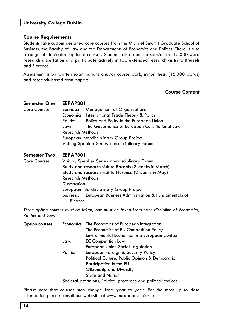## **Course Requirements**

Students take custom designed core courses from the Michael Smurfit Graduate School of Business, the Faculty of Law and the Departments of Economics and Politics. There is also a range of dedicated optional courses. Students also submit a specialised 15,000-word research dissertation and participate actively in two extended research visits: to Brussels and Florence.

Assessment is by written examinations and/or course work, minor thesis (15,000 words) and research-based term papers.

| <b>Course Content</b> |
|-----------------------|
|                       |

| <b>Semester One</b> | <b>EEPAP301</b>                                                 |  |  |
|---------------------|-----------------------------------------------------------------|--|--|
| Core Courses:       | <b>Management of Organisations</b><br>Business:                 |  |  |
|                     | Economics: International Trade Theory & Policy                  |  |  |
|                     | Policy and Polity in the European Union<br>Politics:            |  |  |
|                     | The Governance of European Constitutional Law<br>Law:           |  |  |
|                     | <b>Research Methods</b>                                         |  |  |
|                     | European Interdisciplinary Group Project                        |  |  |
|                     | Visiting Speaker Series Interdisciplinary Forum                 |  |  |
| Semester Two        | <b>EEPAP301</b>                                                 |  |  |
| Core Courses:       | Visiting Speaker Series Interdisciplinary Forum                 |  |  |
|                     | Study and research visit to Brussels (2 weeks in March)         |  |  |
|                     | Study and research visit to Florence (2 weeks in May)           |  |  |
|                     | <b>Research Methods</b>                                         |  |  |
|                     | <b>Dissertation</b>                                             |  |  |
|                     | European Interdisciplinary Group Project                        |  |  |
|                     | European Business Administration & Fundamentals of<br>Business: |  |  |
|                     | Finance                                                         |  |  |

*Three option courses must be taken; one must be taken from each discipline of Economics, Politics and Law.* 

| Option courses: |           | Economics: The Economics of European Integration                 |
|-----------------|-----------|------------------------------------------------------------------|
|                 |           | The Economics of EU Competition Policy                           |
|                 |           | Environmental Economics in a European Context                    |
|                 | Law:      | <b>EC Competition Law</b>                                        |
|                 |           | European Union Social Legislation                                |
|                 | Politics: | European Foreign & Security Policy                               |
|                 |           | Political Culture, Public Opinion & Democratic                   |
|                 |           | Participation in the EU                                          |
|                 |           | Citizenship and Diversity                                        |
|                 |           | <b>State and Nation</b>                                          |
|                 |           | Societal Institutions, Political processes and political choices |

Please note that courses may change from year to year. For the most up to date information please consult our web site at www.europeanstudies.ie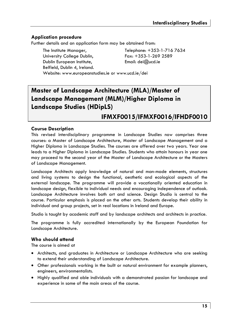## **Application procedure**

Further details and an application form may be obtained from:

The Institute Manager, Telephone: +353-1-716 7634 University College Dublin, Fax: +353-1-269 2589 Dublin European Institute, Email: dei@ucd.ie Belfield, Dublin 4, Ireland. Website: www.europeanstudies.ie or www.ucd.ie/dei

## **Master of Landscape Architecture (MLA)/Master of Landscape Management (MLM)/Higher Diploma in Landscape Studies (HDipLS)**

## **IFMXF0015/IFMXF0016/IFHDF0010**

## **Course Description**

This revised interdisciplinary programme in Landscape Studies now comprises three courses: a Master of Landscape Architecture, Master of Landscape Management and a Higher Diploma in Landscape Studies. The courses are offered over two years. Year one leads to a Higher Diploma in Landscape Studies. Students who attain honours in year one may proceed to the second year of the Master of Landscape Architecture or the Masters of Landscape Management.

Landscape Architects apply knowledge of natural and man-made elements, structures and living systems to design the functional, aesthetic and ecological aspects of the external landscape. The programme will provide a vocationally oriented education in landscape design, flexible to individual needs and encouraging independence of outlook. Landscape Architecture involves both art and science. Design Studio is central to the course. Particular emphasis is placed on the other arts. Students develop their ability in individual and group projects, set in real locations in Ireland and Europe.

Studio is taught by academic staff and by landscape architects and architects in practice.

The programme is fully accredited internationally by the European Foundation for Landscape Architecture.

## **Who should attend**

The course is aimed at

- Architects, and graduates in Architecture or Landscape Architecture who are seeking to extend their understanding of Landscape Architecture.
- Other professionals working in the built or natural environment for example planners, engineers, environmentalists.
- Highly qualified and able individuals with a demonstrated passion for landscape and experience in some of the main areas of the course.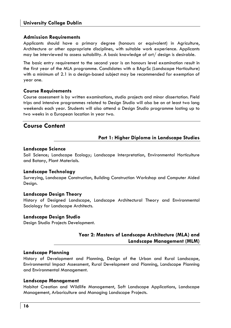## **Admission Requirements**

Applicants should have a primary degree (honours or equivalent) in Agriculture, Architecture or other appropriate disciplines, with suitable work experience. Applicants may be interviewed to assess suitability. A basic knowledge of art/ design is desirable.

The basic entry requirement to the second year is an honours level examination result in the first year of the MLA programme. Candidates with a BAgrSc (Landscape Horticulture) with a minimum of 2.1 in a design-based subject may be recommended for exemption of year one.

## **Course Requirements**

Course assessment is by written examinations, studio projects and minor dissertation. Field trips and intensive programmes related to Design Studio will also be on at least two long weekends each year. Students will also attend a Design Studio programme lasting up to two weeks in a European location in year two.

## **Course Content**

## **Part 1: Higher Diploma in Landscape Studies**

## **Landscape Science**

Soil Science; Landscape Ecology; Landscape Interpretation, Environmental Horticulture and Botany, Plant Materials.

## **Landscape Technology**

Surveying, Landscape Construction, Building Construction Workshop and Computer Aided Design.

## **Landscape Design Theory**

History of Designed Landscape, Landscape Architectural Theory and Environmental Sociology for Landscape Architects.

## **Landscape Design Studio**

Design Studio Projects Development.

## **Year 2: Masters of Landscape Architecture (MLA) and Landscape Management (MLM)**

## **Landscape Planning**

History of Development and Planning, Design of the Urban and Rural Landscape, Environmental Impact Assessment, Rural Development and Planning, Landscape Planning and Environmental Management.

## **Landscape Management**

Habitat Creation and Wildlife Management, Soft Landscape Applications, Landscape Management, Arboriculture and Managing Landscape Projects.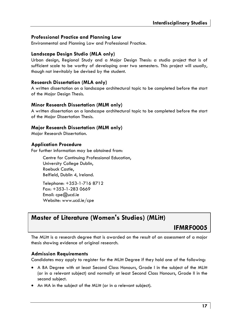## **Professional Practice and Planning Law**

Environmental and Planning Law and Professional Practice.

## **Landscape Design Studio (MLA only)**

Urban design, Regional Study and a Major Design Thesis: a studio project that is of sufficient scale to be worthy of developing over two semesters. This project will usually, though not inevitably be devised by the student.

## **Research Dissertation (MLA only)**

A written dissertation on a landscape architectural topic to be completed before the start of the Major Design Thesis.

## **Minor Research Dissertation (MLM only)**

A written dissertation on a landscape architectural topic to be completed before the start of the Major Dissertation Thesis.

## **Major Research Dissertation (MLM only)**

Major Research Dissertation.

## **Application Procedure**

For further information may be obtained from:

Centre for Continuing Professional Education, University College Dublin, Roebuck Castle, Belfield, Dublin 4, Ireland.

Telephone: +353-1-716 8712 Fax: +353-1-283 0669 Email: cpe@ucd.ie Website: www.ucd.ie/cpe

## **Master of Literature (Women's Studies) (MLitt)**

## **IFMRF0005**

The MLitt is a research degree that is awarded on the result of an assessment of a major thesis showing evidence of original research.

## **Admission Requirements**

Candidates may apply to register for the MLitt Degree if they hold one of the following:

- A BA Degree with at least Second Class Honours, Grade I in the subject of the MLitt (or in a relevant subject) and normally at least Second Class Honours, Grade II in the second subject.
- An MA in the subject of the MLitt (or in a relevant subject).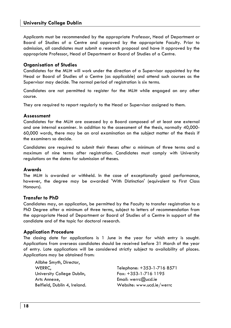## **University College Dublin**

Applicants must be recommended by the appropriate Professor, Head of Department or Board of Studies of a Centre and approved by the appropriate Faculty. Prior to admission, all candidates must submit a research proposal and have it approved by the appropriate Professor, Head of Department or Board of Studies of a Centre.

## **Organisation of Studies**

Candidates for the MLitt will work under the direction of a Supervisor appointed by the Head or Board of Studies of a Centre (as applicable) and attend such courses as the Supervisor may decide. The normal period of registration is six terms.

Candidates are not permitted to register for the MLitt while engaged on any other course.

They are required to report regularly to the Head or Supervisor assigned to them.

#### **Assessment**

Candidates for the MLitt are assessed by a Board composed of at least one external and one internal examiner. In addition to the assessment of the thesis, normally 40,000- 60,000 words, there may be an oral examination on the subject matter of the thesis if the examiners so decide.

Candidates are required to submit their theses after a minimum of three terms and a maximum of nine terms after registration. Candidates must comply with University regulations on the dates for submission of theses.

## **Awards**

The MLitt is awarded or withheld. In the case of exceptionally good performance, however, the degree may be awarded 'With Distinction' (equivalent to First Class Honours).

## **Transfer to PhD**

Candidates may, on application, be permitted by the Faculty to transfer registration to a PhD Degree after a minimum of three terms, subject to letters of recommendation from the appropriate Head of Department or Board of Studies of a Centre in support of the candidate and of the topic for doctoral research.

## **Application Procedure**

The closing date for applications is 1 June in the year for which entry is sought. Applications from overseas candidates should be received before 31 March of the year of entry. Late applications will be considered strictly subject to availability of places. Applications may be obtained from:

Ailbhe Smyth, Director, University College Dublin, Fax: +353-1-716 1195 Arts Annexe, Email: werrc@ucd.ie

WERRC, Telephone: +353-1-716 8571 Belfield, Dublin 4, Ireland. Website: www.ucd.ie/werrc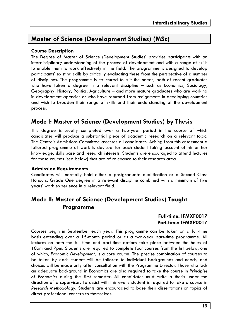## **Master of Science (Development Studies) (MSc)**

## **Course Description**

The Degree of Master of Science (Development Studies) provides participants with an interdisciplinary understanding of the process of development and with a range of skills to enable them to work effectively in the field. The programme is designed to develop participants' existing skills by critically evaluating these from the perspective of a number of disciplines. The programme is structured to suit the needs, both of recent graduates who have taken a degree in a relevant discipline – such as Economics, Sociology, Geography, History, Politics, Agriculture – and more mature graduates who are working in development agencies or who have returned from assignments in developing countries and wish to broaden their range of skills and their understanding of the development process.

## **Mode I: Master of Science (Development Studies) by Thesis**

This degree is usually completed over a two-year period in the course of which candidates will produce a substantial piece of academic research on a relevant topic. The Centre's Admissions Committee assesses all candidates. Arising from this assessment a tailored programme of work is devised for each student taking account of his or her knowledge, skills base and research interests. Students are encouraged to attend lectures for those courses (see below) that are of relevance to their research area.

## **Admission Requirements**

Candidates will normally hold either a postgraduate qualification or a Second Class Honours, Grade One degree in a relevant discipline combined with a minimum of five years' work experience in a relevant field.

## **Mode II: Master of Science (Development Studies) Taught Programme**

## **Full-time: IFMXF0017 Part-time: IFMXP0017**

Courses begin in September each year. This programme can be taken on a full-time basis extending over a 15-month period or as a two-year part-time programme. All lectures on both the full-time and part-time options take place between the hours of 10am and 7pm. Students are required to complete four courses from the list below, one of which, *Economic Development*, is a core course. The precise combination of courses to be taken by each student will be tailored to individual backgrounds and needs, and choices will be made only after consultation with the Programme Director. Those who lack an adequate background in Economics are also required to take the course in *Principles of Economics* during the first semester. All candidates must write a thesis under the direction of a supervisor. To assist with this every student is required to take a course in *Research Methodology.* Students are encouraged to base their dissertations on topics of direct professional concern to themselves.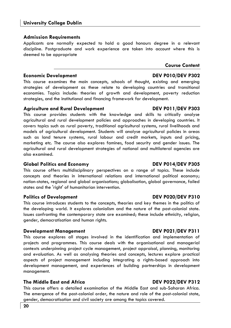## **Admission Requirements**

Applicants are normally expected to hold a good honours degree in a relevant discipline. Postgraduate and work experience are taken into account where this is deemed to be appropriate

## **Economic Development Communist Communist Communist Communist Communist Communist DEV P010/DEV P302**

This course examines the main concepts, schools of thought, existing and emerging strategies of development as these relate to developing countries and transitional economies. Topics include: theories of growth and development, poverty reduction strategies, and the institutional and financing framework for development.

## **Agriculture and Rural Development DEV P011/DEV P303**

This course provides students with the knowledge and skills to critically analyse agricultural and rural development policies and approaches in developing countries. It covers topics such as rural poverty, traditional agricultural systems, rural livelihoods and models of agricultural development. Students will analyse agricultural policies in areas such as land tenure systems, rural labour and credit markets, inputs and pricing, marketing etc. The course also explores famines, food security and gender issues. The agricultural and rural development strategies of national and multilateral agencies are also examined.

## **Global Politics and Economy DEV P014/DEV P305**

This course offers multidisciplinary perspectives on a range of topics. These include concepts and theories in international relations and international political economy; nation-states, regional and global organisations; globalisation, global governance, failed states and the 'right' of humanitarian intervention.

## **Politics of Development CEV PO20/DEV P310**

This course introduces students to the concepts, theories and key themes in the politics of the developing world. It explores colonialism and the nature of the post-colonial state. Issues confronting the contemporary state are examined; these include ethnicity, religion, gender, democratisation and human rights.

## **Development Management Communication CEV PO21/DEV P311**

This course explores all stages involved in the identification and implementation of projects and programmes. This course deals with the organisational and managerial contexts underpinning project cycle management, project appraisal, planning, monitoring and evaluation. As well as analysing theories and concepts, lectures explore practical aspects of project management including integrating a rights-based approach into development management, and experiences of building partnerships in development management.

## **The Middle East and Africa DEV P022/DEV P312**

This course offers a detailed examination of the Middle East and sub-Saharan Africa. The emergence of the post-colonial order, the nature and role of the post-colonial state, gender, democratisation and civil society are among the topics covered.

# **Course Content**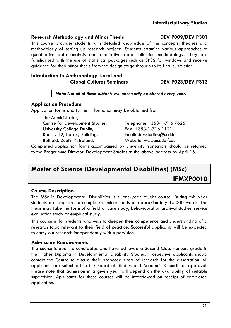## **Research Methodology and Minor Thesis DEV P009/DEV P301**

This course provides students with detailed knowledge of the concepts, theories and methodology of setting up research projects. Students examine various approaches to quantitative data analysis and qualitative data collection methodology. They are familiarised with the use of statistical packages such as SPSS for windows and receive guidance for their minor thesis from the design stage through to its final submission.

## **Introduction to Anthropology: Local and Global Cultures Seminars DEV P023/DEV P313**

*Note: Not all of these subjects will necessarily be offered every year.* 

## **Application Procedure**

Application forms and further information may be obtained from

The Administrator, University College Dublin, Fax: +353-1-716 1121 Room 512, Library Building, Email: dev.studies@ucd.ie

Centre for Development Studies, Telephone: +353-1-716 7625 Belfield, Dublin 4, Ireland. Website: www.ucd.ie/cds

Completed application forms accompanied by university transcripts, should be returned to the Programme Director, Development Studies at the above address by April 16.

## **Master of Science (Developmental Disabilities) (MSc) IFMXP0010**

## **Course Description**

The MSc in Developmental Disabilities is a one-year taught course. During this year students are required to complete a minor thesis of approximately 15,000 words. The thesis may take the form of a field or case study, behavioural or archival studies, service evaluation study or empirical study.

This course is for students who wish to deepen their competence and understanding of a research topic relevant to their field of practice. Successful applicants will be expected to carry out research independently with supervision.

## **Admission Requirements**

The course is open to candidates who have achieved a Second Class Honours grade in the Higher Diploma in Developmental Disability Studies. Prospective applicants should contact the Centre to discuss their proposed area of research for the dissertation. All applicants are submitted to the Board of Studies and Academic Council for approval. Please note that admission in a given year will depend on the availability of suitable supervision. Applicants for these courses will be interviewed on receipt of completed application.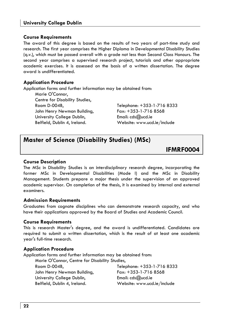## **Course Requirements**

The award of this degree is based on the results of two years of part-time study and research. The first year comprises the Higher Diploma in Developmental Disability Studies (q.v.), which must be passed overall with a grade not less than Second Class Honours. The second year comprises a supervised research project, tutorials and other appropriate academic exercises. It is assessed on the basis of a written dissertation. The degree award is undifferentiated.

## **Application Procedure**

Application forms and further information may be obtained from:

Marie O'Connor, Centre for Disability Studies, John Henry Newman Building, Fax: +353-1-716 8568 University College Dublin, Email: cds@ucd.ie Belfield, Dublin 4, Ireland. Website: www.ucd.ie/include

Room D-004B, Telephone: +353-1-716 8333

## **Master of Science (Disability Studies) (MSc)**

**IFMRF0004** 

## **Course Description**

The MSc in Disability Studies is an interdisciplinary research degree, incorporating the former MSc in Developmental Disabilities (Mode I) and the MSc in Disability Management. Students prepare a major thesis under the supervision of an approved academic supervisor. On completion of the thesis, it is examined by internal and external examiners.

## **Admission Requirements**

Graduates from cognate disciplines who can demonstrate research capacity, and who have their applications approved by the Board of Studies and Academic Council.

## **Course Requirements**

This is research Master's degree, and the award is undifferentiated. Candidates are required to submit a written dissertation, which is the result of at least one academic year's full-time research.

## **Application Procedure**

Application forms and further information may be obtained from:

Marie O'Connor, Centre for Disability Studies, Room D-004B, Telephone: +353-1-716 8333 John Henry Newman Building, Fax: +353-1-716 8568 University College Dublin, Email: cds@ucd.ie Belfield, Dublin 4, Ireland. Website: www.ucd.ie/include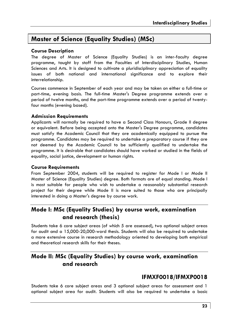## **Master of Science (Equality Studies) (MSc)**

## **Course Description**

The degree of Master of Science (Equality Studies) is an inter-faculty degree programme, taught by staff from the Faculties of Interdisciplinary Studies, Human Sciences and Arts. It is designed to cultivate a pluridisciplinary appreciation of equality issues of both national and international significance and to explore their interrelationship.

Courses commence in September of each year and may be taken on either a full-time or part-time, evening basis. The full-time Master's Degree programme extends over a period of twelve months, and the part-time programme extends over a period of twentyfour months (evening based).

## **Admission Requirements**

Applicants will normally be required to have a Second Class Honours, Grade II degree or equivalent. Before being accepted onto the Master's Degree programme, candidates must satisfy the Academic Council that they are academically equipped to pursue the programme. Candidates may be required to undertake a preparatory course if they are not deemed by the Academic Council to be sufficiently qualified to undertake the programme. It is desirable that candidates should have worked or studied in the fields of equality, social justice, development or human rights.

## **Course Requirements**

From September 2004, students will be required to register for Mode I or Mode II Master of Science (Equality Studies) degree. Both formats are of equal standing. Mode I is most suitable for people who wish to undertake a reasonably substantial research project for their degree while Mode II is more suited to those who are principally interested in doing a Master's degree by course work.

## **Mode I: MSc (Equality Studies) by course work, examination and research (thesis)**

Students take 6 core subject areas (of which 5 are assessed), two optional subject areas for audit and a 15,000-20,000-word thesis. Students will also be required to undertake a more extensive course in research methodology oriented to developing both empirical and theoretical research skills for their theses.

## **Mode II: MSc (Equality Studies) by course work, examination and research**

## **IFMXF0018/IFMXP0018**

Students take 6 core subject areas and 3 optional subject areas for assessment and 1 optional subject area for audit. Students will also be required to undertake a basic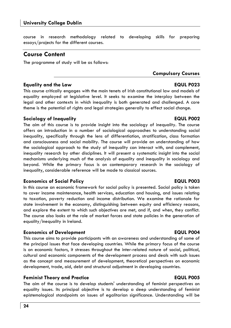## **University College Dublin**

course in research methodology related to developing skills for preparing essays/projects for the different courses.

## **Course Content**

The programme of study will be as follows:

## **Equality and the Law EQUL P023**

This course critically engages with the main tenets of Irish constitutional law and models of equality employed at legislative level. It seeks to examine the interplay between the legal and other contexts in which inequality is both generated and challenged. A core theme is the potential of rights and legal strategies generally to effect social change.

## **Sociology of Inequality EQUL P002**

The aim of this course is to provide insight into the sociology of inequality. The course offers an introduction in a number of sociological approaches to understanding social inequality, specifically through the lens of differentiation, stratification, class formation and consciousness and social mobility. The course will provide an understanding of how the sociological approach to the study of inequality can interact with, and complement, inequality research by other disciplines. It will present a systematic insight into the social mechanisms underlying much of the analysis of equality and inequality in sociology and beyond. While the primary focus is on contemporary research in the sociology of inequality, considerable reference will be made to classical sources.

## **Economics of Social Policy EQUL P003**

In this course an economic framework for social policy is presented. Social policy is taken to cover income maintenance, health services, education and housing, and issues relating to taxation, poverty reduction and income distribution. We examine the rationale for state involvement in the economy, distinguishing between equity and efficiency reasons, and explore the extent to which such objectives are met, and if, and when, they conflict. The course also looks at the role of market forces and state policies in the generation of equality/inequality in Ireland.

## **Economics of Development Construction EQUL P004**

This course aims to provide participants with an awareness and understanding of some of the principal issues that face developing countries. While the primary focus of the course is on economic factors, it stresses throughout the inter-related nature of social, political, cultural and economic components of the development process and deals with such issues as the concept and measurement of development, theoretical perspectives on economic development, trade, aid, debt and structural adjustment in developing countries.

## **Feminist Theory and Practice EQUL P005**

The aim of the course is to develop students' understanding of feminist perspectives on equality issues. Its principal objective is to develop a deep understanding of feminist epistemological standpoints on issues of egalitarian significance. Understanding will be

**Compulsory Courses**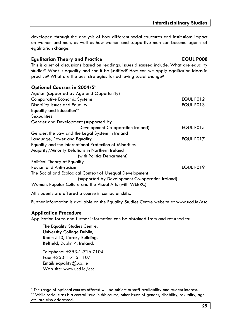developed through the analysis of how different social structures and institutions impact on women and men, as well as how women and supportive men can become agents of egalitarian change.

## **Egalitarian Theory and Practice EQUL P008**

## This is a set of discussions based on readings. Issues discussed include: What are equality studies? What is equality and can it be justified? How can we apply egalitarian ideas in practice? What are the best strategies for achieving social change?

## **Optional Courses in 2004/5\***

| Ageism (supported by Age and Opportunity)                |           |
|----------------------------------------------------------|-----------|
| <b>Comparative Economic Systems</b>                      | EQUL P012 |
| Disability Issues and Equality                           | EQUL P013 |
| <b>Equality and Education**</b>                          |           |
| <b>Sexualities</b>                                       |           |
| Gender and Development (supported by                     |           |
| Development Co-operation Ireland)                        | EQUL P015 |
| Gender, the Law and the Legal System in Ireland          |           |
| Language, Power and Equality                             | EQUL P017 |
| Equality and the International Protection of Minorities  |           |
| Majority/Minority Relations in Northern Ireland          |           |
| (with Politics Department)                               |           |
| Political Theory of Equality                             |           |
| Racism and Anti-racism                                   | EQUL P019 |
| The Social and Ecological Context of Unequal Development |           |
| (supported by Development Co-operation Ireland)          |           |
| Women, Popular Culture and the Visual Arts (with WERRC)  |           |

All students are offered a course in computer skills.

Further information is available on the Equality Studies Centre website at www.ucd.ie/esc

## **Application Procedure**

Application forms and further information can be obtained from and returned to:

The Equality Studies Centre, University College Dublin, Room 510, Library Building, Belfield, Dublin 4, Ireland.

Telephone: +353-1-716 7104 Fax: +353-1-716 1107 Email: equality@ucd.ie Web site: www.ucd.ie/esc

<sup>\*</sup> The range of optional courses offered will be subject to staff availability and student interest.

<sup>\*\*</sup> While social class is a central issue in this course, other issues of gender, disability, sexuality, age etc. are also addressed.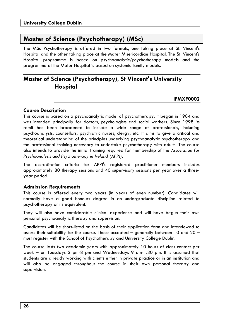## **Master of Science (Psychotherapy) (MSc)**

The MSc Psychotherapy is offered in two formats, one taking place at St. Vincent's Hospital and the other taking place at the Mater Misericordiae Hospital. The St. Vincent's Hospital programme is based on psychoanalytic/psychotherapy models and the programme at the Mater Hospital is based on systemic family models.

## **Master of Science (Psychotherapy), St Vincent's University Hospital**

**IFMXF0002** 

## **Course Description**

This course is based on a psychoanalytic model of psychotherapy. It began in 1984 and was intended principally for doctors, psychologists and social workers. Since 1998 its remit has been broadened to include a wide range of professionals, including psychoanalysts, counsellors, psychiatric nurses, clergy, etc. It aims to give a critical and theoretical understanding of the principles underlying psychoanalytic psychotherapy and the professional training necessary to undertake psychotherapy with adults. The course also intends to provide the initial training required for membership of the *Association for Psychoanalysis and Psychotherapy in Ireland (APPI).* 

The accreditation criteria for APPI's registered practitioner members includes approximately 80 therapy sessions and 40 supervisory sessions per year over a threeyear period.

## **Admission Requirements**

This course is offered every two years (in years of even number). Candidates will normally have a good honours degree in an undergraduate discipline related to psychotherapy or its equivalent.

They will also have considerable clinical experience and will have begun their own personal psychoanalytic therapy and supervision.

Candidates will be short-listed on the basis of their application form and interviewed to assess their suitability for the course. Those accepted  $-$  generally between 10 and 20  $$ must register with the School of Psychotherapy and University College Dublin.

The course lasts two academic years with approximately 10 hours of class contact per week – on Tuesdays 2 pm-8 pm and Wednesdays 9 am-1.30 pm. It is assumed that students are already working with clients either in private practice or in an institution and will also be engaged throughout the course in their own personal therapy and supervision.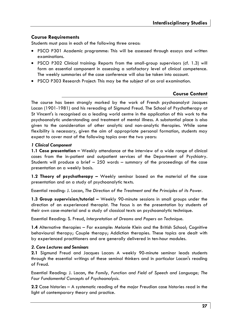## **Course Requirements**

Students must pass in each of the following three areas:

- PSCO P301 Academic programme: This will be assessed through essays and written examinations.
- PSCO P302 Clinical training: Reports from the small-group supervisors (cf. 1.3) will form an essential component in assessing a satisfactory level of clinical competence. The weekly summaries of the case conference will also be taken into account.
- PSCO P303 Research Project: This may be the subject of an oral examination.

## **Course Content**

The course has been strongly marked by the work of French psychoanalyst Jacques Lacan (1901-1981) and his rereading of Sigmund Freud. The School of Psychotherapy at St Vincent's is recognised as a leading world centre in the application of this work to the psychoanalytic understanding and treatment of mental illness. A substantial place is also given to the consideration of other analytic and non-analytic therapies. While some flexibility is necessary, given the aim of appropriate personal formation, students may expect to cover most of the following topics over the two years:

#### *1 Clinical Component*

**1.1 Case presentation –** Weekly attendance at the interview of a wide range of clinical cases from the in-patient and outpatient services of the Department of Psychiatry. Students will produce a brief – 250 words – summary of the proceedings of the case presentation on a weekly basis.

**1.2 Theory of psychotherapy –** Weekly seminar based on the material of the case presentation and on a study of psychoanalytic texts.

Essential reading: J. Lacan, *The Direction of the Treatment and the Principles of its Power.* 

**1.3 Group supervision/tutorial –** Weekly 90-minute sessions in small groups under the direction of an experienced therapist. The focus is on the presentation by students of their own case-material and a study of classical texts on psychoanalytic technique.

Essential Reading: S. Freud, *Interpretation of Dreams and Papers on Technique.* 

**1.4** Alternative therapies – For example: Melanie Klein and the British School; Cognitive behavioural therapy; Couple therapy; Addiction therapies. These topics are dealt with by experienced practitioners and are generally delivered in ten-hour modules.

## *2. Core Lectures and Seminars*

**2.1** Sigmund Freud and Jacques Lacan: A weekly 90-minute seminar leads students through the essential writings of these seminal thinkers and in particular Lacan's reading of Freud.

Essential Reading: J. Lacan, *the Family, Function and Field of Speech and Language; The Four Fundamental Concepts of Psychoanalysis*.

**2.2** Case histories – A systematic reading of the major Freudian case histories read in the light of contemporary theory and practice.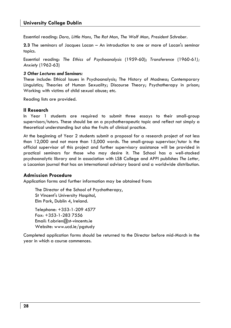Essential reading: *Dora, Little Hans, The Rat Man, The Wolf Man, President Schreber*.

**2.3** The seminars of Jacques Lacan – An introduction to one or more of Lacan's seminar topics.

Essential reading: *The Ethics of Psychoanalysis* (1959-60); *Transference* (1960-6*1); Anxiety* (1962-63)

#### *3 Other Lectures and Seminars:*

These include: Ethical Issues in Psychoanalysis; The History of Madness; Contemporary Linguistics; Theories of Human Sexuality; Discourse Theory; Psychotherapy in prison; Working with victims of child sexual abuse; etc.

Reading lists are provided.

#### **II Research**

In Year 1 students are required to submit three essays to their small-group supervisors/tutors. These should be on a psychotherapeutic topic and reflect not simply a theoretical understanding but also the fruits of clinical practice.

At the beginning of Year 2 students submit a proposal for a research project of not less than 12,000 and not more than 15,000 words. The small-group supervisor/tutor is the official supervisor of this project and further supervisory assistance will be provided in practical seminars for those who may desire it. The School has a well-stocked psychoanalytic library and in association with LSB College and APPI publishes *The Letter,*  a Lacanian journal that has an international advisory board and a worldwide distribution.

## **Admission Procedure**

Application forms and further information may be obtained from:

The Director of the School of Psychotherapy, St Vincent's University Hospital, Elm Park, Dublin 4, Ireland.

Telephone: +353-1-209 4577 Fax: +353-1-283 7556 Email: f.obrien@st-vincents.ie Website: www.ucd.ie/pgstudy

Completed application forms should be returned to the Director before mid-March in the year in which a course commences.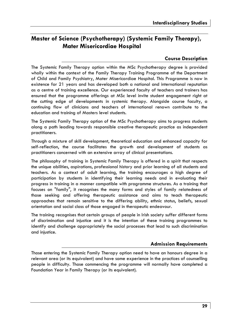## **Master of Science (Psychotherapy) (Systemic Family Therapy), Mater Misericordiae Hospital**

## **Course Description**

The Systemic Family Therapy option within the MSc Psychotherapy degree is provided wholly within the context of the Family Therapy Training Programme of the Department of Child and Family Psychiatry, Mater Misericordiae Hospital. This Programme is now in existence for 21 years and has developed both a national and international reputation as a centre of training excellence. Our experienced faculty of teachers and trainers has ensured that the programme offerings at MSc level invite student engagement right at the cutting edge of developments in systemic therapy. Alongside course faculty, a continuing flow of clinicians and teachers of international renown contribute to the education and training of Masters level students.

The Systemic Family Therapy option of the MSc Psychotherapy aims to progress students along a path leading towards responsible creative therapeutic practice as independent practitioners.

Through a mixture of skill development, theoretical education and enhanced capacity for self-reflection, the course facilitates the growth and development of students as practitioners concerned with an extensive array of clinical presentations.

The philosophy of training in Systemic Family Therapy is offered in a spirit that respects the unique abilities, aspirations, professional history and prior learning of all students and teachers. As a context of adult learning, the training encourages a high degree of participation by students in identifying their learning needs and in evaluating their progress in training in a manner compatible with programme structures. As a training that focuses on "family", it recognises the many forms and styles of family relatedness of those seeking and offering therapeutic assistance and aims to teach therapeutic approaches that remain sensitive to the differing ability, ethnic status, beliefs, sexual orientation and social class of those engaged in therapeutic endeavour.

The training recognises that certain groups of people in Irish society suffer different forms of discrimination and injustice and it is the intention of these training programmes to identify and challenge appropriately the social processes that lead to such discrimination and injustice.

## **Admission Requirements**

Those entering the Systemic Family Therapy option need to have an honours degree in a relevant area (or its equivalent) and have some experience in the practices of counselling people in difficulty. Those commencing the programme will normally have completed a Foundation Year in Family Therapy (or its equivalent).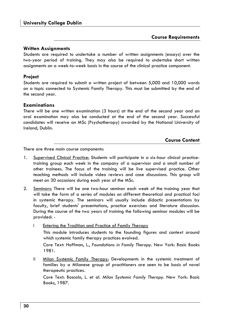## **Course Requirements**

## **Written Assignments**

Students are required to undertake a number of written assignments (essays) over the two-year period of training. They may also be required to undertake short written assignments on a week-to-week basis in the course of the clinical practice component.

## **Project**

Students are required to submit a written project of between 5,000 and 10,000 words on a topic connected to Systemic Family Therapy. This must be submitted by the end of the second year.

## **Examinations**

There will be one written examination (3 hours) at the end of the second year and an oral examination may also be conducted at the end of the second year. Successful candidates will receive an MSc (Psychotherapy) awarded by the National University of Ireland, Dublin.

## **Course Content**

There are three main course components:

- 1. Supervised Clinical Practice: Students will participate in a six-hour clinical practicetraining group each week in the company of a supervisor and a small number of other trainees. The focus of the training will be live supervised practice. Other teaching methods will include video reviews and case discussions. This group will meet on 30 occasions during each year of the MSc.
- 2. Seminars: There will be one two-hour seminar each week of the training year that will take the form of a series of modules on different theoretical and practical foci in systemic therapy. The seminars will usually include didactic presentations by faculty, brief students' presentations, practice exercises and literature discussion. During the course of the two years of training the following seminar modules will be provided:
	- i Entering the Tradition and Practice of Family Therapy This module introduces students to the founding figures and context around which systemic family therapy practices evolved.

Core Text: Hoffman, L., *Foundations in Family Therapy.* New York: Basic Books 1981.

ii Milan Systemic Family Therapy: Developments in the systemic treatment of families by a Milanese group of practitioners are seen to be basis of novel therapeutic practices.

Core Text: Boscolo, L. et al. *Milan Systemic Family Therapy.* New York: Basic Books, 1987.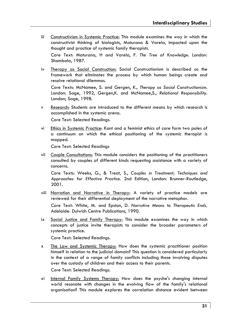iii Constructivism in Systemic Practice: This module examines the way in which the constructivist thinking of biologists, Maturana & Varela, impacted upon the thought and practice of systemic family therapists.

Core Text: Maturana, H and Varela, F. *The Tree of Knowledge.* London*:* Shambala, 1987.

iv Therapy as Social Construction: Social Constructionism is described as the framework that eliminates the process by which human beings create and resolve relational dilemmas.

Core Texts: McNamee, S. and Gergen, K., *Therapy as Social Constructionism.*  London: Sage, 1992, Gergen,K. and McNamee,S., *Relational Responsibility.*  London; Sage, 1998.

- v Research: Students are introduced to the different means by which research is accomplished in the systemic arena. Core Text: Selected Readings.
- vi Ethics in Systemic Practice: Kant and a feminist ethics of care form two poles of a continuum on which the ethical positioning of the systemic therapist is mapped.

Core Text: Selected Readings

vii Couple Consultations: This module considers the positioning of the practitioners consulted by couples of different kinds requesting assistance with a variety of concerns.

Core Texts: Weeks, G., & Treat, S., *Couples in Treatment; Techniques and Approaches for Effective Practice.* 2nd Edition, London: Brunner-Routledge, 2001.

viii Narration and Narrative in Therapy: A variety of practice models are reviewed for their differential deployment of the narrative metaphor.

Core Text: White, M. and Epston, D. *Narrative Means to Therapeutic Ends,*  Adelaide*:* Dulwich Centre Publications, 1990.

ix Social Justice and Family Therapy: This module examines the way in which concepts of justice invite therapists to consider the broader parameters of systemic practice.

Core Text: Selected Readings.

- x The Law and Systemic Therapy: How does the systemic practitioner position himself in relation to the judicial domain? This question is considered particularly in the context of a range of family conflicts including those involving disputes over the custody of children and their access to their parents. Core Text: Selected Readings.
- xi Internal Family Systems Therapy: How does the psyche's changing internal world resonate with changes in the evolving flow of the family's relational organisation? This module explores the correlation distance evident between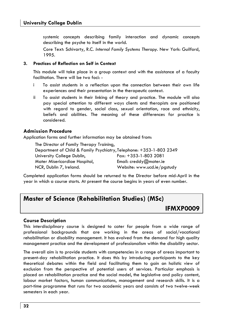systemic concepts describing family interaction and dynamic concepts describing the psyche to itself in the world.

Core Text: Schivarty, R.C. *Internal Family Systems Therapy*. New York: Guilford, 1995.

#### **3. Practices of Reflection on Self in Context**

This module will take place in a group context and with the assistance of a faculty facilitation. There will be two foci: -

- i To assist students in a reflection upon the connection between their own life experiences and their presentation in the therapeutic context.
- ii To assist students in their linking of theory and practice. The module will also pay special attention to different ways clients and therapists are positioned with regard to gender, social class, sexual orientation, race and ethnicity, beliefs and abilities. The meaning of these differences for practice is considered.

## **Admission Procedure**

Application forms and further information may be obtained from:

The Director of Family Therapy Training, Department of Child & Family Psychiatry, Telephone: +353-1-803 2349 University College Dublin, Fax: +353-1-803 2081 Mater Misericordiae Hospital, Email: creddy@mater.ie NCR, Dublin 7, Ireland. Website: www.ucd.ie/pgstudy

Completed application forms should be returned to the Director before mid-April in the year in which a course starts. At present the course begins in years of even number.

## **Master of Science (Rehabilitation Studies) (MSc)**

## **IFMXP0009**

## **Course Description**

This interdisciplinary course is designed to cater for people from a wide range of professional backgrounds that are working in the areas of social/vocational rehabilitation or disability management. It has evolved from the demand for high quality management practice and the development of professionalism within the disability sector.

The overall aim is to provide students with competencies in a range of areas important to present-day rehabilitation practice. It does this by introducing participants to the key theoretical debates within the field and facilitating them to gain an holistic view of exclusion from the perspective of potential users of services. Particular emphasis is placed on rehabilitation practice and the social model, the legislative and policy content, labour market factors, human communications, management and research skills. It is a part-time programme that runs for two academic years and consists of two twelve-week semesters in each year.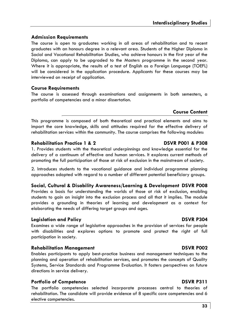## **Admission Requirements**

The course is open to graduates working in all areas of rehabilitation and to recent graduates with an honours degree in a relevant area. Students of the Higher Diploma in Social and Vocational Rehabilitation Studies, who achieve honours in the first year of the Diploma, can apply to be upgraded to the Masters programme in the second year. Where it is appropriate, the results of a test of English as a Foreign Language (TOEFL) will be considered in the application procedure. Applicants for these courses may be interviewed on receipt of application.

## **Course Requirements**

The course is assessed through examinations and assignments in both semesters, a portfolio of competencies and a minor dissertation.

## **Course Content**

This programme is composed of both theoretical and practical elements and aims to impart the core knowledge, skills and attitudes required for the effective delivery of rehabilitation services within the community. The course comprises the following modules:

## **Rehabilitation Practice 1 & 2 DSVR P001 & P308**

1. Provides students with the theoretical underpinnings and knowledge essential for the delivery of a continuum of effective and human services. It explores current methods of promoting the full participation of those at risk of exclusion in the mainstream of society.

2. Introduces students to the vocational guidance and individual programme planning approaches adopted with regard to a number of different potential beneficiary groups.

## **Social, Cultural & Disability Awareness/Learning & Development DSVR P008**

Provides a basis for understanding the worlds of those at risk of exclusion, enabling students to gain an insight into the exclusion process and all that it implies. The module provides a grounding in theories of learning and development as a context for elaborating the needs of differing target groups and ages.

## **Legislation and Policy DSVR P304**

Examines a wide range of legislative approaches in the provision of services for people with disabilities and explores options to promote and protect the right of full participation in society.

## **Rehabilitation Management DSVR P002**

Enables participants to apply best-practice business and management techniques to the planning and operation of rehabilitation services, and promotes the concepts of Quality Systems, Service Standards and Programme Evaluation. It fosters perspectives on future directions in service delivery.

## **Portfolio of Competence DSVR P311**

The portfolio competencies selected incorporate processes central to theories of rehabilitation. The candidate will provide evidence of 8 specific core competencies and 6 elective competencies.

## **33**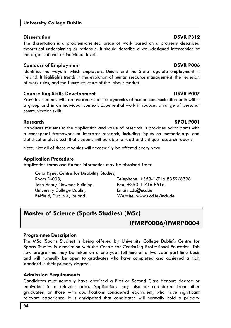## **University College Dublin**

## **Dissertation** DSVR P312

The dissertation is a problem-oriented piece of work based on a properly described theoretical underpinning or rationale. It should describe a well-designed intervention at the organisational or individual level.

## **Contours of Employment Contours of Employment**

Identifies the ways in which Employers, Unions and the State regulate employment in Ireland. It highlights trends in the evolution of human resource management, the redesign of work rules, and the future structure of the labour market.

## **Counselling Skills Development DSVR P007**

Provides students with an awareness of the dynamics of human communication both within a group and in an individual context. Experiential work introduces a range of personal communication skills.

## **Research SPOL P001**

Introduces students to the application and value of research. It provides participants with a conceptual framework to interpret research, including inputs on methodology and statistical analysis such that students will be able to read and critique research reports.

Note: Not all of these modules will necessarily be offered every year

## **Application Procedure**

Application forms and further information may be obtained from:

Cella Kyne, Centre for Disability Studies, John Henry Newman Building, Fax: +353-1-716 8616 University College Dublin,  $E_{\text{mail:}}$  cds $@$ ucd.ie Belfield, Dublin 4, Ireland. Website: www.ucd.ie/include

Room D-003, Telephone: +353-1-716 8359/8398

## **Master of Science (Sports Studies) (MSc)**

## **IFMRF0006/IFMRP0004**

## **Programme Description**

The MSc (Sports Studies) is being offered by University College Dublin's Centre for Sports Studies in association with the Centre for Continuing Professional Education. This new programme may be taken on a one-year full-time or a two-year part-time basis and will normally be open to graduates who have completed and achieved a high standard in their primary degree.

## **Admission Requirements**

Candidates must normally have obtained a First or Second Class Honours degree or equivalent in a relevant area. Applications may also be considered from other graduates, or those with qualifications considered equivalent, who have significant relevant experience. It is anticipated that candidates will normally hold a primary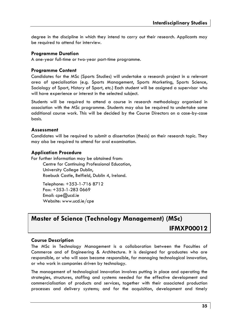degree in the discipline in which they intend to carry out their research. Applicants may be required to attend for interview.

## **Programme Duration**

A one-year full-time or two-year part-time programme.

## **Programme Content**

Candidates for the MSc (Sports Studies) will undertake a research project in a relevant area of specialisation (e.g. Sports Management, Sports Marketing, Sports Science, Sociology of Sport, History of Sport, etc.) Each student will be assigned a supervisor who will have experience or interest in the selected subject.

Students will be required to attend a course in research methodology organised in association with the MSc programme. Students may also be required to undertake some additional course work. This will be decided by the Course Directors on a case-by-case basis.

## **Assessment**

Candidates will be required to submit a dissertation (thesis) on their research topic. They may also be required to attend for oral examination.

## **Application Procedure**

For further information may be obtained from:

Centre for Continuing Professional Education, University College Dublin, Roebuck Castle, Belfield, Dublin 4, Ireland.

Telephone: +353-1-716 8712 Fax: +353-1-283 0669 Email: cpe@ucd.ie Website: www.ucd.ie/cpe

## **Master of Science (Technology Management) (MSc) IFMXP00012**

## **Course Description**

The MSc in Technology Management is a collaboration between the Faculties of Commerce and of Engineering & Architecture. It is designed for graduates who are responsible, or who will soon become responsible, for managing technological innovation, or who work in companies driven by technology.

The management of technological innovation involves putting in place and operating the strategies, structures, staffing and systems needed for the effective development and commercialisation of products and services, together with their associated production processes and delivery systems; and for the acquisition, development and timely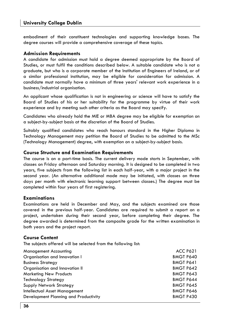embodiment of their constituent technologies and supporting knowledge bases. The degree courses will provide a comprehensive coverage of these topics.

## **Admission Requirements**

A candidate for admission must hold a degree deemed appropriate by the Board of Studies, or must fulfil the conditions described below. A suitable candidate who is not a graduate, but who is a corporate member of the Institution of Engineers of Ireland, or of a similar professional institution, may be eligible for consideration for admission. A candidate must normally have a minimum of three years' relevant work experience in a business/industrial organisation.

An applicant whose qualification is not in engineering or science will have to satisfy the Board of Studies of his or her suitability for the programme by virtue of their work experience and by meeting such other criteria as the Board may specify.

Candidates who already hold the MIE or MBA degree may be eligible for exemption on a subject-by-subject basis at the discretion of the Board of Studies.

Suitably qualified candidates who reach honours standard in the Higher Diploma in Technology Management may petition the Board of Studies to be admitted to the MSc (Technology Management) degree, with exemption on a subject-by-subject basis.

## **Course Structure and Examination Requirements**

The course is on a part-time basis. The current delivery mode starts in September, with classes on Friday afternoon and Saturday morning. It is designed to be completed in two years, five subjects from the following list in each half-year, with a major project in the second year. (An alternative additional mode may be initiated, with classes on three days per month with electronic learning support between classes.) The degree must be completed within four years of first registering.

## **Examinations**

Examinations are held in December and May, and the subjects examined are those covered in the previous half-year. Candidates are required to submit a report on a project, undertaken during their second year, before completing their degree. The degree awarded is determined from the composite grade for the written examination in both years and the project report.

## **Course Content**

The subjects offered will be selected from the following list:

| Management Accounting                 | <b>ACC P621</b>  |
|---------------------------------------|------------------|
| Organisation and Innovation I         | <b>BMGT P640</b> |
| <b>Business Strategy</b>              | <b>BMGT P641</b> |
| Organisation and Innovation II        | <b>BMGT P642</b> |
| <b>Marketing New Products</b>         | <b>BMGT P643</b> |
| <b>Technology Strategy</b>            | <b>BMGT P644</b> |
| <b>Supply Network Strategy</b>        | <b>BMGT P645</b> |
| Intellectual Asset Management         | <b>BMGT P646</b> |
| Development Planning and Productivity | <b>BMGT P430</b> |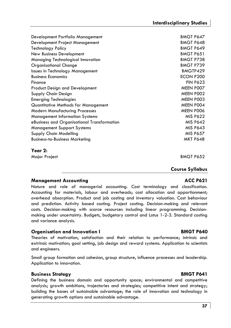| <b>Business Economics</b>                                                          | ECON P200              |
|------------------------------------------------------------------------------------|------------------------|
| Finance                                                                            | <b>FIN P623</b>        |
| <b>Product Design and Development</b>                                              | MEEN POO7              |
| Supply Chain Design                                                                | MEEN POO2              |
| <b>Emerging Technologies</b>                                                       | MEEN POO3              |
| Quantitative Methods for Management                                                | MEEN POO4              |
| <b>Modern Manufacturing Processes</b>                                              | MEEN P006              |
| <b>Management Information Systems</b>                                              | <b>MIS P622</b>        |
| eBusiness and Organisational Transformation                                        | <b>MIS P642</b>        |
| <b>Management Support Systems</b>                                                  | <b>MIS P643</b>        |
| Supply Chain Modelling                                                             | <b>MIS P657</b>        |
| <b>Business-to-Business Marketing</b>                                              | <b>MKT P648</b>        |
| Year 2:                                                                            |                        |
| Major Project                                                                      | <b>BMGT P652</b>       |
|                                                                                    | <b>Course Syllabus</b> |
| <b>Management Accounting</b>                                                       | <b>ACC P621</b>        |
| Nature and role of managerial accounting. Cost terminology and classification.     |                        |
| Accounting for materials, labour and overheads; cost allocation and apportionment; |                        |
|                                                                                    |                        |

Accounting for me overhead absorption. Product and job costing and inventory valuation. Cost behaviour and prediction. Activity based costing. Project costing. Decision-making and relevant costs. Decision-making with scarce resources including linear programming. Decisionmaking under uncertainty. Budgets, budgetary control and Lotus 1-2-3. Standard costing and variance analysis.

Development Portfolio Management BMGT P647 Development Project Management BMGT P648 Technology Policy BMGT P649 New Business Development and a state of the BMGT P651 Managing Technological Innovation BMGT P738 Organisational Change BMGT P739 **Issues in Technology Management** BMGTP429

#### **Organisation and Innovation I** BMGT P640

Theories of motivation, satisfaction and their relation to performance; intrinsic and extrinsic motivation; goal setting, job design and reward systems. Application to scientists and engineers.

Small group formation and cohesion, group structure, influence processes and leadership. Application to innovation.

### **Business Strategy** Business Strategy

Defining the business domain and opportunity space; environmental and competitive analysis; growth ambitions, trajectories and strategies; competitive intent and strategy; building the bases of sustainable advantage; the role of innovation and technology in generating growth options and sustainable advantage.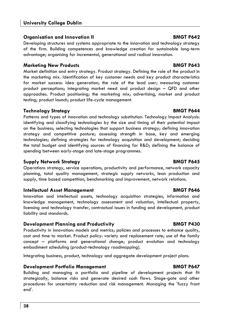#### **Organisation and Innovation II BMGT P642**

Developing structures and systems appropriate to the innovation and technology strategy of the firm. Building competences and knowledge creation for sustainable long-term advantage; organising for incremental, generational and radical innovation.

#### **Marketing New Products BMGT P643**

Market definition and entry strategy. Product strategy. Defining the role of the product in the marketing mix. Identification of key customer needs and key product characteristics for market success: idea generation; the role of the lead user; measuring customer product perceptions; integrating market need and product design – QFD and other approaches. Product positioning; the marketing mix; advertising, market and product testing; product launch; product life-cycle management.

### **Technology Strategy BMGT P644**

Patterns and types of innovation and technology substitution. Technology Impact Analysis: identifying and classifying technologies by the size and timing of their potential impact on the business; selecting technologies that support business strategy; defining innovation strategy and competitive posture; assessing strength in base, key and emerging technologies; defining strategies for technology acquisition and development; deciding the total budget and identifying sources of financing for R&D; defining the balance of spending between early-stage and late-stage programmes.

#### **Supply Network Strategy BMGT P645**

Operations strategy, service operations, productivity and performance, network capacity planning, total quality management, strategic supply networks, lean production and supply, time based competition, benchmarking and improvement, network relations.

#### **Intellectual Asset Management BMGT P646**

Innovation and intellectual assets, technology acquisition strategies, information and knowledge management, technology assessment and valuation, intellectual property, licensing and technology transfer, contractual issues in funding and development, product liability and standards.

### **Development Planning and Productivity The Constraint BMGT P430**

Productivity in innovation: models and metrics; policies and processes to enhance quality, cost and time to market. Product policy: variety and replacement rate; use of the family concept – platforms and generational change; product evolution and technology embodiment scheduling (product-technology roadmapping).

Integrating business, product, technology and aggregate development project plans.

### **Development Portfolio Management Communication BMGT P647**

Building and managing a portfolio and pipeline of development projects that fit strategically, balance risks and generate desired cash flows. Stage-gate and other procedures for uncertainty reduction and risk management. Managing the 'fuzzy front end'.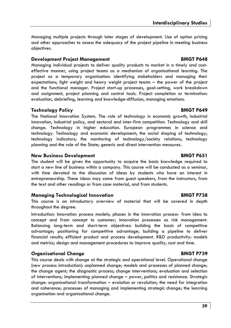Managing multiple projects through later stages of development. Use of option pricing and other approaches to assess the adequacy of the project pipeline in meeting business objectives.

#### **Development Project Management BMGT P648**

Managing individual projects to deliver quality products to market in a timely and costeffective manner, using project teams as a mechanism of organisational learning. The project as a temporary organisation: identifying stakeholders and managing their expectations; light weight and heavy weight project teams – the power of the project and the functional manager. Project start-up processes, goal-setting, work breakdown and assignment, project planning and control tools. Project completion or termination: evaluation, debriefing, learning and knowledge-diffusion, managing emotions.

#### **Technology Policy BMGT P649**

The National Innovation System. The role of technology in economic growth, industrial innovation, industrial policy, and sectoral and inter-firm competition. Technology and skill change. Technology in higher education. European programmes in science and technology. Technology and economic development; the social shaping of technology; technology indicators; the monitoring of technology/society relations; technology planning and the role of the State; generic and direct intervention measures.

#### **New Business Development Constraint BMGT P651**

The student will be given the opportunity to acquire the basic knowledge required to start a new line of business within a company. This course will be conducted as a seminar, with time devoted to the discussion of ideas by students who have an interest in entrepreneurship. These ideas may come from guest speakers, from the instructors, from the text and other readings or from case material, and from students.

#### **Managing Technological Innovation BMGT P738**

This course is an introductory overview of material that will be covered in depth throughout the degree.

Introduction: Innovation process models; phases in the innovation process- from idea to concept and from concept to customer; innovation processes as risk management. Balancing long-term and short-term objectives: building the basis of competitive advantage; positioning for competitive advantage; building a pipeline to deliver financial results; efficient product and process development. R&D productivity: models and metrics; design and management procedures to improve quality, cost and time.

### **Organisational Change BMGT P739**

This course deals with change at the strategic and operational level. Operational change (new process introduction): unplanned change; models and processes of planned change; the change agent; the diagnostic process; change interventions; evaluation and selection of interventions; implementing planned change – power, politics and resistance. Strategic change: organisational transformation – evolution or revolution; the need for integration and coherence; processes of managing and implementing strategic change; the learning organisation and organisational change.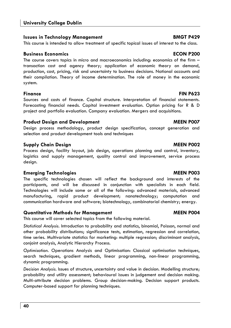#### **Issues in Technology Management Communist Communist Communist Communist Communist Communist Communist Communist Communist Communist Communist Communist Communist Communist Communist Communist Communist Communist Communist**

This course is intended to allow treatment of specific topical issues of interest to the class.

#### **Business Economics ECON P200**

The course covers topics in micro and macroeconomics including: economics of the firm – transaction cost and agency theory; application of economic theory on demand, production, cost, pricing, risk and uncertainty to business decisions. National accounts and their compilation. Theory of income determination. The role of money in the economic system.

#### **Finance FIN P623**

Sources and costs of finance. Capital structure. Interpretation of financial statements. Forecasting financial needs. Capital investment evaluation. Option pricing for R & D project and portfolio evaluation. Company evaluation. Mergers and acquisitions.

### **Product Design and Development MEEN POO7**

Design process methodology, product design specification, concept generation and selection and product development tools and techniques

### **Supply Chain Design MEEN P002**

Process design, facility layout, job design, operations planning and control, inventory, logistics and supply management, quality control and improvement, service process design.

### **Emerging Technologies MEEN P003**

The specific technologies chosen will reflect the background and interests of the participants, and will be discussed in conjunction with specialists in each field. Technologies will include some or all of the following: advanced materials, advanced manufacturing, rapid product development; nanotechnology; computation and communication hardware and software; biotechnology, combinatorial chemistry; energy.

### **Quantitative Methods for Management MEEN P004**

This course will cover selected topics from the following material.

*Statistical Analysis.* Introduction to probability and statistics, binomial, Poisson, normal and other probability distributions; significance tests, estimation, regression and correlation, time series. Multivariate statistics for marketing: multiple regression; discriminant analysis, conjoint analysis, Analytic Hierarchy Process.

*Optimisation.* Operations Analysis and Optimisation: Classical optimisation techniques, search techniques, gradient methods, linear programming, non-linear programming, dynamic programming.

*Decision Analysis.* Issues of structure, uncertainty and value in decision. Modelling structure; probability and utility assessment; behavioural issues in judgement and decision making. Multi-attribute decision problems. Group decision-making. Decision support products. Computer-based support for planning techniques.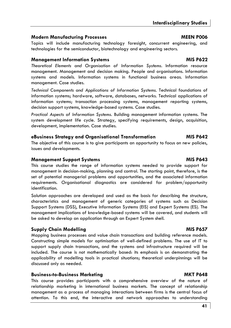### **Modern Manufacturing Processes MEEN P006 MEEN P006**

Topics will include manufacturing technology foresight, concurrent engineering, and technologies for the semiconductor, biotechnology and engineering sectors.

### **Management Information Systems MIS P622**

*Theoretical Elements and Organisation of Information Systems.* Information resource management. Management and decision making. People and organisations. Information systems and models. Information systems in functional business areas. Information management. Case studies.

*Technical Components and Applications of Information Systems.* Technical foundations of information systems; hardware, software, databases, networks. Technical applications of information systems; transaction processing systems, management reporting systems, decision support systems, knowledge-based systems. Case studies.

*Practical Aspects of Information Systems.* Building management information systems. The system development life cycle. Strategy, specifying requirements, design, acquisition, development, implementation. Case studies.

### **eBusiness Strategy and Organisational Transformation MIS P642**

The objective of this course is to give participants an opportunity to focus on new policies, issues and developments.

### **Management Support Systems MIS P643**

This course studies the range of information systems needed to provide support for management in decision-making, planning and control. The starting point, therefore, is the set of potential managerial problems and opportunities, and the associated information requirements. Organisational diagnostics are considered for problem/opportunity identification.

Solution approaches are developed and used as the basis for describing the structure, characteristics and management of generic categories of systems such as Decision Support Systems (DSS), Executive Information Systems (EIS) and Expert Systems (ES). The management implications of knowledge-based systems will be covered, and students will be asked to develop an application through an Expert System shell.

### **Supply Chain Modelling Contract Contract Contract Contract Contract Contract Contract Contract Contract Contract Contract Contract Contract Contract Contract Contract Contract Contract Contract Contract Contract Contract**

Mapping business processes and value chain transactions and building reference models. Constructing simple models for optimisation of well-defined problems. The use of IT to support supply chain transactions, and the systems and infrastructure required will be included. The course is not mathematically based: its emphasis is on demonstrating the applicability of modelling tools in practical situations; theoretical underpinnings will be discussed only as needed.

### **Business-to-Business Marketing MKT P648**

This course provides participants with a comprehensive overview of the nature of relationship marketing in international business markets. The concept of relationship management as a process of managing interactions between firms is the central focus of attention. To this end, the interactive and network approaches to understanding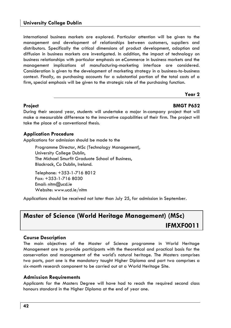international business markets are explored. Particular attention will be given to the management and development of relationships between customers, suppliers and distributors. Specifically the critical dimensions of product development, adoption and diffusion in business markets are investigated. In addition, the impact of technology on business relationships with particular emphasis on eCommerce in business markets and the management implications of manufacturing-marketing interface are considered. Consideration is given to the development of marketing strategy in a business-to-business context. Finally, as purchasing accounts for a substantial portion of the total costs of a firm, special emphasis will be given to the strategic role of the purchasing function.

#### **Year 2**

#### **Project BMGT P652**

During their second year, students will undertake a major in-company project that will make a measurable difference to the innovative capabilities of their firm. The project will take the place of a conventional thesis.

#### **Application Procedure**

Applications for admission should be made to the

Programme Director, MSc (Technology Management), University College Dublin, The Michael Smurfit Graduate School of Business, Blackrock, Co Dublin, Ireland.

Telephone: +353-1-716 8012 Fax: +353-1-716 8030 Email: nitm@ucd.ie Website: www.ucd.ie/nitm

Applications should be received not later than July 25, for admission in September.

# **Master of Science (World Heritage Management) (MSc) IFMXF0011**

#### **Course Description**

The main objectives of the Master of Science programme in World Heritage Management are to provide participants with the theoretical and practical basis for the conservation and management of the world's natural heritage. The Masters comprises two parts, part one is the mandatory taught Higher Diploma and part two comprises a six-month research component to be carried out at a World Heritage Site.

#### **Admission Requirements**

Applicants for the Masters Degree will have had to reach the required second class honours standard in the Higher Diploma at the end of year one.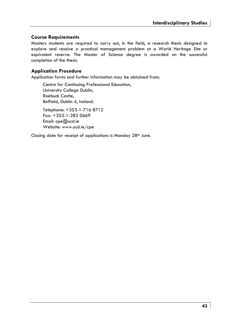#### **Course Requirements**

Masters students are required to carry out, in the field, a research thesis designed to explore and resolve a practical management problem at a World Heritage Site or equivalent reserve. The Master of Science degree is awarded on the successful completion of the thesis.

#### **Application Procedure**

Application forms and further information may be obtained from:

Centre for Continuing Professional Education, University College Dublin, Roebuck Castle, Belfield, Dublin 4, Ireland.

Telephone: +353-1-716 8712 Fax: +353-1-283 0669 Email: cpe@ucd.ie Website: www.ucd.ie/cpe

Closing date for receipt of applications is Monday 28th June.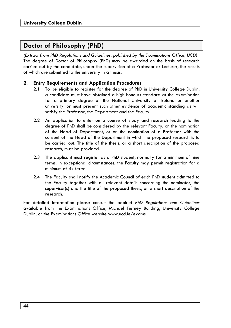# **Doctor of Philosophy (PhD)**

*(Extract from PhD Regulations and Guidelines, published by the Examinations Office, UCD)*  The degree of Doctor of Philosophy (PhD) may be awarded on the basis of research carried out by the candidate, under the supervision of a Professor or Lecturer, the results of which are submitted to the university in a thesis.

#### **2. Entry Requirements and Application Procedures**

- 2.1 To be eligible to register for the degree of PhD in University College Dublin, a candidate must have obtained a high honours standard at the examination for a primary degree of the National University of Ireland or another university, or must present such other evidence of academic standing as will satisfy the Professor, the Department and the Faculty.
- 2.2 An application to enter on a course of study and research leading to the degree of PhD shall be considered by the relevant Faculty, on the nomination of the Head of Department, or on the nomination of a Professor with the consent of the Head of the Department in which the proposed research is to be carried out. The title of the thesis, or a short description of the proposed research, must be provided.
- 2.3 The applicant must register as a PhD student, normally for a minimum of nine terms. In exceptional circumstances, the Faculty may permit registration for a minimum of six terms.
- 2.4 The Faculty shall notify the Academic Council of each PhD student admitted to the Faculty together with all relevant details concerning the nominator, the supervisor(s) and the title of the proposed thesis, or a short description of the research.

For detailed information please consult the booklet *PhD Regulations and Guidelines* available from the Examinations Office, Michael Tierney Building, University College Dublin, or the Examinations Office website www.ucd.ie/exams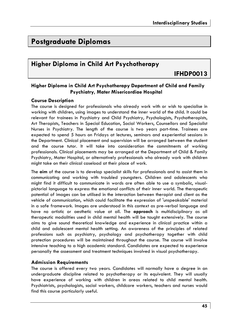# **Postgraduate Diplomas**

# **Higher Diploma in Child Art Psychotherapy**

**IFHDP0013** 

#### **Higher Diploma in Child Art Psychotherapy Department of Child and Family Psychiatry, Mater Misericordiae Hospital**

#### **Course Description**

The course is designed for professionals who already work with or wish to specialise in working with children, using images to understand the inner world of the child. It could be relevant for trainees in Psychiatry and Child Psychiatry, Psychologists, Psychotherapists, Art Therapists, Teachers in Special Education, Social Workers, Counsellors and Specialist Nurses in Psychiatry. The length of the course is two years part-time. Trainees are expected to spend 5 hours on Fridays at lectures, seminars and experiential sessions in the Department. Clinical placement and supervision will be arranged between the student and the course tutor. It will take into consideration the commitments of working professionals. Clinical placements may be arranged at the Department of Child & Family Psychiatry, Mater Hospital, or alternatively professionals who already work with children might take on their clinical caseload at their place of work.

The **aim** of the course is to develop specialist skills for professionals and to assist them in communicating and working with troubled youngsters. Children and adolescents who might find it difficult to communicate in words are often able to use a symbolic, visualpictorial language to express the emotional conflicts of their inner world. The therapeutic potential of images can be utilised in the interaction between therapist and client as the vehicle of communication, which could facilitate the expression of 'unspeakable' material in a safe framework. Images are understood in this context as pre-verbal language and have no artistic or aesthetic value at all. The **approach** is multidisciplinary as all therapeutic modalities used in child mental health will be taught extensively. The course aims to give sound theoretical knowledge and experience in clinical practice within a child and adolescent mental health setting. An awareness of the principles of related professions such as psychiatry, psychology and psychotherapy together with child protection procedures will be maintained throughout the course. The course will involve intensive teaching to a high academic standard. Candidates are expected to experience personally the assessment and treatment techniques involved in visual psychotherapy.

#### **Admission Requirements**

The course is offered every two years. Candidates will normally have a degree in an undergraduate discipline related to psychotherapy or its equivalent. They will usually have experience of working with children in areas related to child mental health. Psychiatrists, psychologists, social workers, childcare workers, teachers and nurses would find this course particularly useful.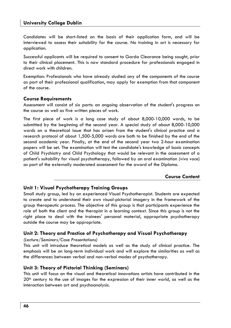#### **University College Dublin**

Candidates will be short-listed on the basis of their application form, and will be interviewed to assess their suitability for the course. No training in art is necessary for application.

Successful applicants will be required to consent to Garda Clearance being sought, prior to their clinical placement. This is now standard procedure for professionals engaged in direct work with children.

Exemption: Professionals who have already studied any of the components of the course as part of their professional qualification, may apply for exemption from that component of the course.

#### **Course Requirements**

Assessment will consist of six parts: an ongoing observation of the student's progress on the course as well as five written pieces of work.

The first piece of work is a long case study of about 8,000-10,000 words, to be submitted by the beginning of the second year. A special study of about 8,000-10,000 words on a theoretical issue that has arisen from the student's clinical practice and a research protocol of about 1,500-5,000 words are both to be finished by the end of the second academic year. Finally, at the end of the second year two 2-hour examination papers will be set. The examination will test the candidate's knowledge of basic concepts of Child Psychiatry and Child Psychology that would be relevant in the assessment of a patient's suitability for visual psychotherapy, followed by an oral examination *(viva voce*) as part of the externally moderated assessment for the award of the Diploma.

#### **Course Content**

#### **Unit 1: Visual Psychotherapy Training Groups**

Small study group, led by an experienced Visual Psychotherapist. Students are expected to create and to understand their own visual-pictorial imagery in the framework of the group therapeutic process. The objective of this group is that participants experience the role of both the client and the therapist in a learning context. Since this group is not the right place to deal with the trainees' personal material, appropriate psychotherapy outside the course may be appropriate.

#### **Unit 2: Theory and Practice of Psychotherapy and Visual Psychotherapy**

#### *(Lecture/Seminars/Case Presentations)*

This unit will introduce theoretical models as well as the study of clinical practice. The emphasis will be on long-term individual work and will explore the similarities as well as the differences between verbal and non-verbal modes of psychotherapy.

#### **Unit 3: Theory of Pictorial Thinking (Seminars)**

This unit will focus on the visual and theoretical innovations artists have contributed in the 20<sup>th</sup> century to the use of images for the expression of their inner world, as well as the interaction between art and psychoanalysis.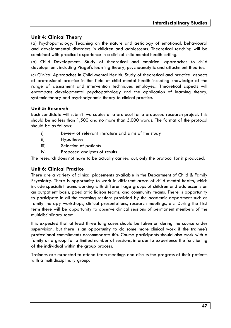#### **Unit 4: Clinical Theory**

(a) Psychopathology. Teaching on the nature and aetiology of emotional, behavioural and developmental disorders in children and adolescents. Theoretical teaching will be combined with practical experience in a clinical child mental health setting.

(b) Child Development. Study of theoretical and empirical approaches to child development, including Piaget's learning theory, psychoanalytic and attachment theories.

(c) Clinical Approaches in Child Mental Health. Study of theoretical and practical aspects of professional practice in the field of child mental health including knowledge of the range of assessment and intervention techniques employed. Theoretical aspects will encompass developmental psychopathology and the application of learning theory, systemic theory and psychodynamic theory to clinical practice.

#### **Unit 5: Research**

Each candidate will submit two copies of a protocol for a proposed research project. This should be no less than 1,500 and no more than 5,000 words. The format of the protocol should be as follows:

- i) Review of relevant literature and aims of the study
- ii) Hypotheses
- iii) Selection of patients
- iv) Proposed analyses of results

The research does not have to be actually carried out, only the protocol for it produced.

#### **Unit 6: Clinical Practice**

There are a variety of clinical placements available in the Department of Child & Family Psychiatry. There is opportunity to work in different areas of child mental health, which include specialist teams working with different age groups of children and adolescents on an outpatient basis, paediatric liaison teams, and community teams. There is opportunity to participate in all the teaching sessions provided by the academic department such as family therapy workshops, clinical presentations, research meetings, etc. During the first term there will be opportunity to observe clinical sessions of permanent members of the multidisciplinary team.

It is expected that at least three long cases should be taken on during the course under supervision, but there is an opportunity to do some more clinical work if the trainee's professional commitments accommodate this. Course participants should also work with a family or a group for a limited number of sessions, in order to experience the functioning of the individual within the group process.

Trainees are expected to attend team meetings and discuss the progress of their patients with a multidisciplinary group.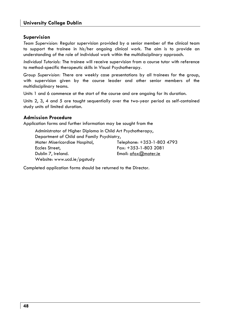#### **Supervision**

*Team Supervision:* Regular supervision provided by a senior member of the clinical team to support the trainee in his/her ongoing clinical work. The aim is to provide an understanding of the role of individual work within the multidisciplinary approach.

*Individual Tutorials:* The trainee will receive supervision from a course tutor with reference to method-specific therapeutic skills in Visual Psychotherapy.

*Group Supervision:* There are weekly case presentations by all trainees for the group, with supervision given by the course leader and other senior members of the multidisciplinary teams.

Units 1 and 6 commence at the start of the course and are ongoing for its duration.

Units 2, 3, 4 and 5 are taught sequentially over the two-year period as self-contained study units of limited duration.

#### **Admission Procedure**

Application forms and further information may be sought from the

| Administrator of Higher Diploma in Child Art Psychotherapy, |                            |
|-------------------------------------------------------------|----------------------------|
| Department of Child and Family Psychiatry,                  |                            |
| Mater Misericordiae Hospital,                               | Telephone: +353-1-803 4793 |
| Eccles Street,                                              | $Fax: +353-1-8032081$      |
| Dublin 7, Ireland.                                          | Email: afox@mater.ie       |
| Website: www.ucd.ie/pgstudy                                 |                            |

Completed application forms should be returned to the Director.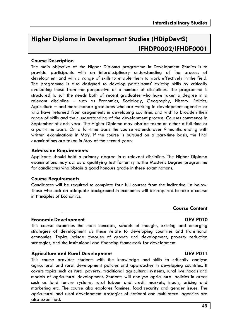# **Higher Diploma in Development Studies (HDipDevtS) IFHDP0002/IFHDF0001**

#### **Course Description**

The main objective of the Higher Diploma programme in Development Studies is to provide participants with an interdisciplinary understanding of the process of development and with a range of skills to enable them to work effectively in the field. The programme is also designed to develop participants' existing skills by critically evaluating these from the perspective of a number of disciplines. The programme is structured to suit the needs both of recent graduates who have taken a degree in a relevant discipline – such as Economics, Sociology, Geography, History, Politics, Agriculture – and more mature graduates who are working in development agencies or who have returned from assignments in developing countries and wish to broaden their range of skills and their understanding of the development process. Courses commence in September of each year. The Higher Diploma may also be taken on either a full-time or a part-time basis. On a full-time basis the course extends over 9 months ending with written examinations in May. If the course is pursued on a part-time basis, the final examinations are taken in May of the second year.

#### **Admission Requirements**

Applicants should hold a primary degree in a relevant discipline*.* The Higher Diploma examinations may act as a qualifying test for entry to the Master's Degree programme for candidates who obtain a good honours grade in these examinations.

#### **Course Requirements**

Candidates will be required to complete four full courses from the indicative list below. Those who lack an adequate background in economics will be required to take a course in Principles of Economics.

#### **Course Content**

#### **Economic Development DEV P010**

This course examines the main concepts, schools of thought, existing and emerging strategies of development as these relate to developing countries and transitional economies. Topics include: theories of growth and development, poverty reduction strategies, and the institutional and financing framework for development.

#### **Agriculture and Rural Development DEV P011**

This course provides students with the knowledge and skills to critically analyse agricultural and rural development policies and approaches in developing countries. It covers topics such as rural poverty, traditional agricultural systems, rural livelihoods and models of agricultural development. Students will analyse agricultural policies in areas such as land tenure systems, rural labour and credit markets, inputs, pricing and marketing etc. The course also explores famines, food security and gender issues. The agricultural and rural development strategies of national and multilateral agencies are also examined.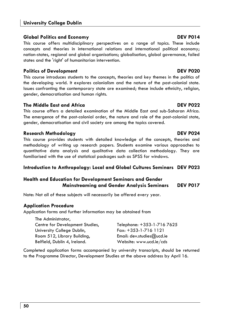#### **Global Politics and Economy DEV P014**

This course offers multidisciplinary perspectives on a range of topics. These include concepts and theories in international relations and international political economy; nation-states, regional and global organisations; globalisation, global governance, failed states and the 'right' of humanitarian intervention.

### **Politics of Development Contract DEV PO20 DEV P020**

This course introduces students to the concepts, theories and key themes in the politics of the developing world. It explores colonialism and the nature of the post-colonial state. Issues confronting the contemporary state are examined; these include ethnicity, religion, gender, democratisation and human rights.

### **The Middle East and Africa DEV P022**

This course offers a detailed examination of the Middle East and sub-Saharan Africa. The emergence of the post-colonial order, the nature and role of the post-colonial state, gender, democratisation and civil society are among the topics covered.

### **Research Methodology DEV P024**

This course provides students with detailed knowledge of the concepts, theories and methodology of writing up research papers. Students examine various approaches to quantitative data analysis and qualitative data collection methodology. They are familiarised with the use of statistical packages such as SPSS for windows.

### **Introduction to Anthropology: Local and Global Cultures Seminars DEV P023**

### **Health and Education for Development Seminars and Gender Mainstreaming and Gender Analysis Seminars DEV P017**

Note: Not all of these subjects will necessarily be offered every year.

### **Application Procedure**

Application forms and further information may be obtained from

| The Administrator,              |                            |
|---------------------------------|----------------------------|
| Centre for Development Studies, | Telephone: +353-1-716 7625 |
| University College Dublin,      | $Fax: +353-1-716$ 1121     |
| Room 512, Library Building,     | Email: $dev.stdout@ucd.ie$ |
| Belfield, Dublin 4, Ireland.    | Website: www.ucd.ie/cds    |

Completed application forms accompanied by university transcripts, should be returned to the Programme Director, Development Studies at the above address by April 16.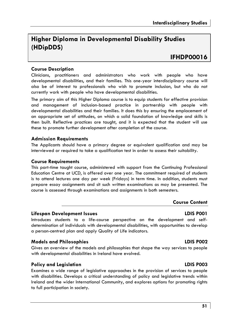# **Higher Diploma in Developmental Disability Studies (HDipDDS)**

# **IFHDP00016**

#### **Course Description**

Clinicians, practitioners and administrators who work with people who have developmental disabilities, and their families. This one-year interdisciplinary course will also be of interest to professionals who wish to promote inclusion, but who do not currently work with people who have developmental disabilities.

The primary aim of this Higher Diploma course is to equip students for effective provision and management of inclusion-based practice in partnership with people with developmental disabilities and their families. It does this by ensuring the emplacement of an appropriate set of attitudes, on which a solid foundation of knowledge and skills is then built. Reflective practices are taught, and it is expected that the student will use these to promote further development after completion of the course.

#### **Admission Requirements**

The Applicants should have a primary degree or equivalent qualification and may be interviewed or required to take a qualification test in order to assess their suitability.

#### **Course Requirements**

This part-time taught course, administered with support from the Continuing Professional Education Centre at UCD, is offered over one year. The commitment required of students is to attend lectures one day per week (Fridays) in term time. In addition, students must prepare essay assignments and sit such written examinations as may be presented. The course is assessed through examinations and assignments in both semesters.

#### **Course Content**

#### **Lifespan Development Issues LDIS P001**

Introduces students to a life-course perspective on the development and selfdetermination of individuals with developmental disabilities, with opportunities to develop a person-centred plan and apply Quality of Life indicators.

#### **Models and Philosophies LDIS P002**

Gives an overview of the models and philosophies that shape the way services to people with developmental disabilities in Ireland have evolved.

#### **Policy and Legislation LDIS P003**

Examines a wide range of legislative approaches in the provision of services to people with disabilities. Develops a critical understanding of policy and legislative trends within Ireland and the wider International Community, and explores options for promoting rights to full participation in society.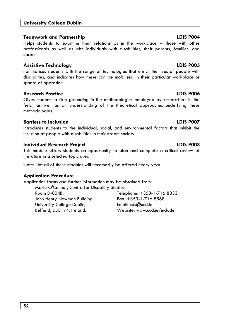### **Teamwork and Partnership LDIS P004**

Helps students to examine their relationships in the workplace -- those with other professionals as well as with individuals with disabilities, their parents, families, and carers.

### **Assistive Technology LDIS P005**

Familiarises students with the range of technologies that enrich the lives of people with disabilities, and indicates how these can be mobilised in their particular workplace or sphere of operation.

### **Research Practice LDIS P006**

Gives students a firm grounding in the methodologies employed by researchers in the field, as well as an understanding of the theoretical approaches underlying these methodologies.

# **Barriers to Inclusion LDIS P007**

Introduces students to the individual, social, and environmental factors that inhibit the inclusion of people with disabilities in mainstream society.

# **Individual Research Project LDIS P008**

This module offers students an opportunity to plan and complete a critical review of literature in a selected topic area.

Note: Not all of these modules will necessarily be offered every year.

# **Application Procedure**

Application forms and further information may be obtained from: Marie O'Connor, Centre for Disability Studies,

John Henry Newman Building, Fax: +353-1-716 8568 University College Dublin, Email: cds@ucd.ie Belfield, Dublin 4, Ireland. Website: www.ucd.ie/include

Room D-004B, Telephone: +353-1-716 8333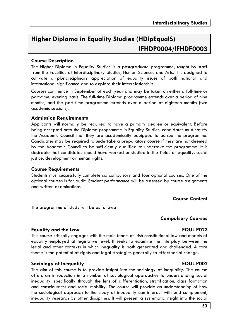# **Higher Diploma in Equality Studies (HDipEqualS) IFHDP0004/IFHDF0003**

#### **Course Description**

The Higher Diploma in Equality Studies is a postgraduate programme, taught by staff from the Faculties of Interdisciplinary Studies, Human Sciences and Arts. It is designed to cultivate a pluridisciplinary appreciation of equality issues of both national and international significance and to explore their interrelationship.

Courses commence in September of each year and may be taken on either a full-time or part-time, evening basis. The full-time Diploma programme extends over a period of nine months, and the part-time programme extends over a period of eighteen months (two academic sessions).

#### **Admission Requirements**

Applicants will normally be required to have a primary degree or equivalent. Before being accepted onto the Diploma programme in Equality Studies, candidates must satisfy the Academic Council that they are academically equipped to pursue the programme. Candidates may be required to undertake a preparatory course if they are not deemed by the Academic Council to be sufficiently qualified to undertake the programme. It is desirable that candidates should have worked or studied in the fields of equality, social justice, development or human rights.

#### **Course Requirements**

Students must successfully complete six compulsory and four optional courses. One of the optional courses is for audit. Student performance will be assessed by course assignments and written examinations.

#### **Course Content**

The programme of study will be as follows:

#### **Compulsory Courses**

#### **Equality and the Law EQUL P023**

This course critically engages with the main tenets of Irish constitutional law and models of equality employed at legislative level. It seeks to examine the interplay between the legal and other contexts in which inequality is both generated and challenged. A core theme is the potential of rights and legal strategies generally to effect social change.

#### **Sociology of Inequality EQUL P002**

The aim of this course is to provide insight into the sociology of inequality. The course offers an introduction in a number of sociological approaches to understanding social inequality, specifically through the lens of differentiation, stratification, class formation and consciousness and social mobility. The course will provide an understanding of how the sociological approach to the study of inequality can interact with and complement, inequality research by other disciplines. It will present a systematic insight into the social

#### **53**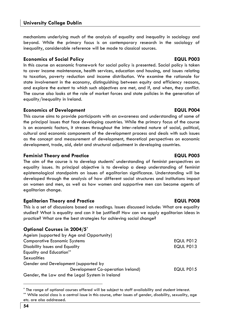mechanisms underlying much of the analysis of equality and inequality in sociology and beyond. While the primary focus is on contemporary research in the sociology of inequality, considerable reference will be made to classical sources.

### **Economics of Social Policy EQUL P003**

In this course an economic framework for social policy is presented. Social policy is taken to cover income maintenance, health services, education and housing, and issues relating to taxation, poverty reduction and income distribution. We examine the rationale for state involvement in the economy, distinguishing between equity and efficiency reasons, and explore the extent to which such objectives are met, and if, and when, they conflict. The course also looks at the role of market forces and state policies in the generation of equality/inequality in Ireland.

### **Economics of Development Construction EQUL P004**

This course aims to provide participants with an awareness and understanding of some of the principal issues that face developing countries. While the primary focus of the course is on economic factors, it stresses throughout the inter-related nature of social, political, cultural and economic components of the development process and deals with such issues as the concept and measurement of development, theoretical perspectives on economic development, trade, aid, debt and structural adjustment in developing countries.

### **Feminist Theory and Practice EQUL P005**

The aim of the course is to develop students' understanding of feminist perspectives on equality issues. Its principal objective is to develop a deep understanding of feminist epistemological standpoints on issues of egalitarian significance. Understanding will be developed through the analysis of how different social structures and institutions impact on women and men, as well as how women and supportive men can become agents of egalitarian change.

### **Egalitarian Theory and Practice EQUL P008**

This is a set of discussions based on readings. Issues discussed include: What are equality studies? What is equality and can it be justified? How can we apply egalitarian ideas in practice? What are the best strategies for achieving social change?

### **Optional Courses in 2004/5\***

| Ageism (supported by Age and Opportunity)       |                  |
|-------------------------------------------------|------------------|
| <b>Comparative Economic Systems</b>             | EQUL P012        |
| Disability Issues and Equality                  | EQUL P013        |
| <b>Equality and Education**</b>                 |                  |
| <b>Sexualities</b>                              |                  |
| Gender and Development (supported by            |                  |
| Development Co-operation Ireland)               | <b>EQUL P015</b> |
| Gender, the Law and the Legal System in Ireland |                  |

<sup>\*</sup> The range of optional courses offered will be subject to staff availability and student interest.

<sup>\*\*</sup> While social class is a central issue in this course, other issues of gender, disability, sexuality, age etc. are also addressed.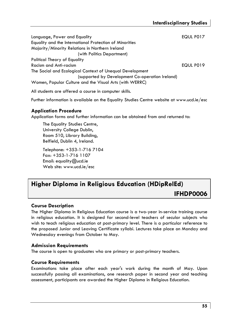| Language, Power and Equality                             | EQUL P017 |
|----------------------------------------------------------|-----------|
| Equality and the International Protection of Minorities  |           |
| Majority/Minority Relations in Northern Ireland          |           |
| (with Politics Department)                               |           |
| Political Theory of Equality                             |           |
| Racism and Anti-racism                                   | EQUL P019 |
| The Social and Ecological Context of Unequal Development |           |
| (supported by Development Co-operation Ireland)          |           |
| Women, Popular Culture and the Visual Arts (with WERRC)  |           |

All students are offered a course in computer skills.

Further information is available on the Equality Studies Centre website at www.ucd.ie/esc

#### **Application Procedure**

Application forms and further information can be obtained from and returned to:

The Equality Studies Centre, University College Dublin, Room 510, Library Building, Belfield, Dublin 4, Ireland.

Telephone: +353-1-716 7104 Fax: +353-1-716 1107 Email: equality@ucd.ie Web site: www.ucd.ie/esc

# **Higher Diploma in Religious Education (HDipRelEd)**

**IFHDP0006** 

#### **Course Description**

The Higher Diploma in Religious Education course is a two-year in-service training course in religious education. It is designed for second-level teachers of secular subjects who wish to teach religious education at post-primary level. There is a particular reference to the proposed Junior and Leaving Certificate syllabi. Lectures take place on Monday and Wednesday evenings from October to May.

#### **Admission Requirements**

The course is open to graduates who are primary or post-primary teachers.

#### **Course Requirements**

Examinations take place after each year's work during the month of May. Upon successfully passing all examinations, one research paper in second year and teaching assessment, participants are awarded the Higher Diploma in Religious Education.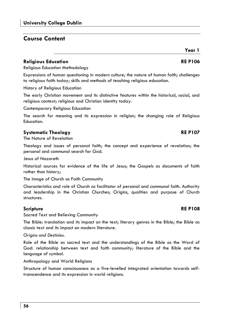# **Course Content**

### **Religious Education RE P106**

Religious Education Methodology

Expressions of human questioning in modern culture; the nature of human faith; challenges to religious faith today; skills and methods of teaching religious education.

History of Religious Education

The early Christian movement and its distinctive features within the historical, social, and religious context; religious and Christian identity today.

Contemporary Religious Education

The search for meaning and its expression in religion; the changing role of Religious Education.

### **Systematic Theology RE P107**

The Nature of Revelation

Theology and issues of personal faith; the concept and experience of revelation; the personal and communal search for God.

Jesus of Nazareth

Historical sources for evidence of the life of Jesus; the Gospels as documents of faith rather than history;

The Image of Church as Faith Community

Characteristics and role of Church as facilitator of personal and communal faith. Authority and leadership in the Christian Churches; Origins, qualities and purpose of Church structures.

### **Scripture** RE P108

Sacred Text and Believing Community

The Bible: translation and its impact on the text; literary genres in the Bible; the Bible as classic text and its impact on modern literature.

#### *Origins and Destinies.*

Role of the Bible as sacred text and the understandings of the Bible as the Word of God. relationship between text and faith community; literature of the Bible and the language of symbol.

Anthropology and World Religions

Structure of human consciousness as a five-levelled integrated orientation towards selftranscendence and its expression in world religions.

# **Year 1**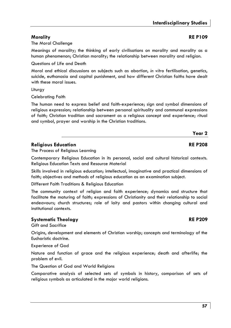### **Morality RE P109**

The Moral Challenge

Meanings of morality; the thinking of early civilisations on morality and morality as a human phenomenon; Christian morality; the relationship between morality and religion.

Questions of Life and Death

Moral and ethical discussions on subjects such as abortion, *in vitro* fertilisation, genetics, suicide, euthanasia and capital punishment, and how different Christian faiths have dealt with these moral issues.

**Liturgy** 

Celebrating Faith

The human need to express belief and faith-experience; sign and symbol dimensions of religious expression; relationship between personal spirituality and communal expressions of faith; Christian tradition and sacrament as a religious concept and experience; ritual and symbol, prayer and worship in the Christian traditions.

#### **Religious Education RE P208**

The Process of Religious Learning

Contemporary Religious Education in its personal, social and cultural historical contexts. Religious Education Texts and Resource Material

Skills involved in religious education; intellectual, imaginative and practical dimensions of faith; objectives and methods of religious education as an examination subject.

Different Faith Traditions & Religious Education

The community context of religion and faith experience; dynamics and structure that facilitate the maturing of faith; expressions of Christianity and their relationship to social endeavours; church structures; role of laity and pastors within changing cultural and institutional contexts.

### **Systematic Theology RE P209**

Gift and Sacrifice

Origins, development and elements of Christian worship; concepts and terminology of the Eucharistic doctrine.

Experience of God

Nature and function of grace and the religious experience; death and afterlife; the problem of evil.

The Question of God and World Religions

Comparative analysis of selected sets of symbols in history, comparison of sets of religious symbols as articulated in the major world religions.

# **Year 2**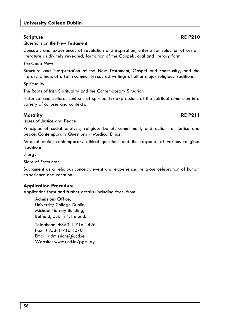**58** 

# **University College Dublin**

Questions on the New Testament

Concepts and experiences of revelation and inspiration; criteria for selection of certain literature as divinely revealed; formation of the Gospels, oral and literary form.

*The Good News* 

Structure and interpretation of the New Testament, Gospel and community, and the literary witness of a faith community; sacred writings of other major religious traditions.

**Spirituality** 

The Roots of Irish Spirituality and the Contemporary Situation

Historical and cultural contexts of spirituality; expressions of the spiritual dimension in a variety of cultures and contexts.

### **Morality RE P211**

Issues of Justice and Peace

Principles of social analysis; religious belief, commitment, and action for justice and peace. Contemporary Questions in Medical Ethics

Medical ethics; contemporary ethical questions and the response of various religious traditions.

Liturgy

Signs of Encounter

Sacrament as a religious concept, event and experience; religious celebration of human experience and vocation.

### **Application Procedure**

Application form and further details (including fees) from:

Admissions Office, University College Dublin, Michael Tierney Building, Belfield, Dublin 4, Ireland.

Telephone: +353-1-716 1426 Fax: +353-1-716 1070 Email: admissions@ucd.ie Website: www.ucd.ie/pgstudy

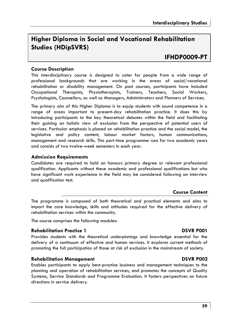# **Higher Diploma in Social and Vocational Rehabilitation Studies (HDipSVRS)**

# **IFHDP0009-PT**

#### **Course Description**

This interdisciplinary course is designed to cater for people from a wide range of professional backgrounds that are working in the areas of social/vocational rehabilitation or disability management. On past courses, participants have included Occupational Therapists, Physiotherapists, Trainers, Teachers, Social Workers, Psychologists, Counsellors, as well as Managers, Administrators and Planners of Services.

The primary aim of this Higher Diploma is to equip students with sound competence in a range of areas important to present-day rehabilitation practice. It does this by introducing participants to the key theoretical debates within the field and facilitating their gaining an holistic view of exclusion from the perspective of potential users of services. Particular emphasis is placed on rehabilitation practice and the social model, the legislative and policy content, labour market factors, human communications, management and research skills. This part-time programme runs for two academic years and consists of two twelve-week semesters in each year.

#### **Admission Requirements**

Candidates are required to hold an honours primary degree or relevant professional qualification. Applicants without these academic and professional qualifications but who have significant work experience in the field may be considered following an interview and qualification test.

#### **Course Content**

The programme is composed of both theoretical and practical elements and aims to impart the core knowledge, skills and attitudes required for the effective delivery of rehabilitation services within the community.

The course comprises the following modules:

#### **Rehabilitation Practice 1 DSVR P001**

Provides students with the theoretical underpinnings and knowledge essential for the delivery of a continuum of effective and human services. It explores current methods of promoting the full participation of those at risk of exclusion in the mainstream of society.

#### **Rehabilitation Management DSVR P002**

Enables participants to apply best-practice business and management techniques to the planning and operation of rehabilitation services, and promotes the concepts of Quality Systems, Service Standards and Programme Evaluation. It fosters perspectives on future directions in service delivery.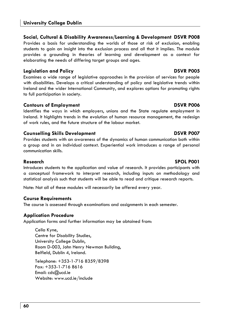### **Social, Cultural & Disability Awareness/Learning & Development DSVR P008**

Provides a basis for understanding the worlds of those at risk of exclusion, enabling students to gain an insight into the exclusion process and all that it implies. The module provides a grounding in theories of learning and development as a context for elaborating the needs of differing target groups and ages.

#### **Legislation and Policy DSVR P005**

Examines a wide range of legislative approaches in the provision of services for people with disabilities. Develops a critical understanding of policy and legislative trends within Ireland and the wider International Community, and explores options for promoting rights to full participation in society.

#### **Contours of Employment DSVR P006**

Identifies the ways in which employers, unions and the State regulate employment in Ireland. It highlights trends in the evolution of human resource management, the redesign of work rules, and the future structure of the labour market.

#### **Counselling Skills Development DSVR P007**

Provides students with an awareness of the dynamics of human communication both within a group and in an individual context. Experiential work introduces a range of personal communication skills.

#### **Research SPOL P001**

Introduces students to the application and value of research. It provides participants with a conceptual framework to interpret research, including inputs on methodology and statistical analysis such that students will be able to read and critique research reports.

Note: Not all of these modules will necessarily be offered every year.

#### **Course Requirements**

The course is assessed through examinations and assignments in each semester.

#### **Application Procedure**

Application forms and further information may be obtained from:

Cella Kyne, Centre for Disability Studies, University College Dublin, Room D-003, John Henry Newman Building, Belfield, Dublin 4, Ireland.

Telephone: +353-1-716 8359/8398 Fax: +353-1-716 8616 Email: cds@ucd.ie Website: www.ucd.ie/include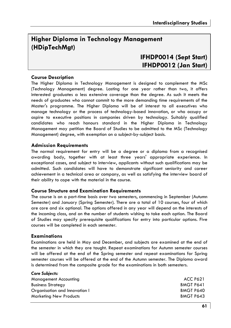# **Higher Diploma in Technology Management (HDipTechMgt)**

# **IFHDP0014 (Sept Start) IFHDP0012 (Jan Start)**

#### **Course Description**

The Higher Diploma in Technology Management is designed to complement the MSc (Technology Management) degree. Lasting for one year rather than two, it offers interested graduates a less extensive coverage than the degree. As such it meets the needs of graduates who cannot commit to the more demanding time requirements of the Master's programme. The Higher Diploma will be of interest to all executives who manage technology or the process of technology-based innovation, or who occupy or aspire to executive positions in companies driven by technology. Suitably qualified candidates who reach honours standard in the Higher Diploma in Technology Management may petition the Board of Studies to be admitted to the MSc (Technology Management) degree, with exemption on a subject-by-subject basis.

#### **Admission Requirements**

The normal requirement for entry will be a degree or a diploma from a recognised awarding body, together with at least three years' appropriate experience. In exceptional cases, and subject to interview, applicants without such qualifications may be admitted. Such candidates will have to demonstrate significant seniority and career achievement in a technical area or company, as well as satisfying the interview board of their ability to cope with the material in the course.

#### **Course Structure and Examination Requirements**

The course is on a part-time basis over two semesters, commencing in September (Autumn Semester) and January (Spring Semester). There are a total of 10 courses, four of which are core and six optional. The options offered in any year will depend on the interests of the incoming class, and on the number of students wishing to take each option. The Board of Studies may specify prerequisite qualifications for entry into particular options. Five courses will be completed in each semester.

#### **Examinations**

*Core Subjects:* 

Examinations are held in May and December, and subjects are examined at the end of the semester in which they are taught. Repeat examinations for Autumn semester courses will be offered at the end of the Spring semester and repeat examinations for Spring semester courses will be offered at the end of the Autumn semester. The Diploma award is determined from the composite grade for the examinations in both semesters.

| $-0.01$ $-0.001$ $-0.01$      |                  |
|-------------------------------|------------------|
| Management Accounting         | <b>ACC P621</b>  |
| <b>Business Strategy</b>      | <b>BMGT P641</b> |
| Organisation and Innovation I | BMGT P640        |
| <b>Marketing New Products</b> | BMGT P643        |
|                               |                  |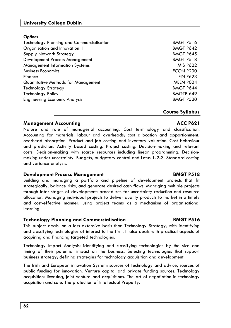#### **University College Dublin**

#### *Options*

| Technology Planning and Commercialisation | BMGT P516        |
|-------------------------------------------|------------------|
| Organisation and Innovation II            | <b>BMGT P642</b> |
| Supply Network Strategy                   | <b>BMGT P645</b> |
| Development Process Management            | BMGT P518        |
| Management Information Systems            | <b>MIS P622</b>  |
| <b>Business Economics</b>                 | ECON P200        |
| Finance                                   | <b>FIN P623</b>  |
| Quantitative Methods for Management       | MEEN POO4        |
| Technology Strategy                       | <b>BMGT P644</b> |
| Technology Policy                         | BMGTP 649        |
| <b>Engineering Economic Analysis</b>      | <b>BMGT P520</b> |
|                                           |                  |

#### **Course Syllabus**

#### **Management Accounting** and the community of the community of the ACC P621

Nature and role of managerial accounting. Cost terminology and classification. Accounting for materials, labour and overheads; cost allocation and apportionment; overhead absorption. Product and job costing and inventory valuation. Cost behaviour and prediction. Activity based costing. Project costing. Decision-making and relevant costs. Decision-making with scarce resources including linear programming. Decisionmaking under uncertainty. Budgets, budgetary control and Lotus 1-2-3. Standard costing and variance analysis.

#### **Development Process Management Communication Communication BMGT P518**

Building and managing a portfolio and pipeline of development projects that fit strategically, balance risks, and generate desired cash flows. Managing multiple projects through later stages of development: procedures for uncertainty reduction and resource allocation. Managing individual projects to deliver quality products to market in a timely and cost-effective manner: using project teams as a mechanism of organisational learning.

#### **Technology Planning and Commercialisation BMGT P516**

This subject deals, on a less extensive basis than Technology Strategy, with identifying and classifying technologies of interest to the firm. It also deals with practical aspects of acquiring and financing targeted technologies.

Technology Impact Analysis: identifying and classifying technologies by the size and timing of their potential impact on the business. Selecting technologies that support business strategy; defining strategies for technology acquisition and development.

The Irish and European innovation System: sources of technology and advice, sources of public funding for innovation. Venture capital and private funding sources. Technology acquisition: licensing, joint venture and acquisitions. The art of negotiation in technology acquisition and sale. The protection of Intellectual Property.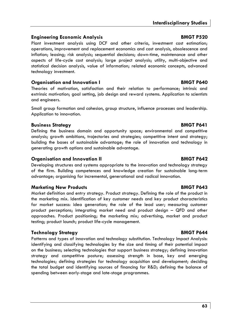#### **Engineering Economic Analysis BMGT P520**

Plant investment analysis using DCF and other criteria, investment cost estimation; operations, improvement and replacement economics and cost analysis, obsolescence and inflation; leasing; risk analysis; sequential decisions; down-time, maintenance and other aspects of life-cycle cost analysis; large project analysis; utility, multi-objective and statistical decision analysis, value of information; related economic concepts, advanced technology investment.

#### **Organisation and Innovation I BMGT P640**

Theories of motivation, satisfaction and their relation to performance; intrinsic and extrinsic motivation; goal setting, job design and reward systems. Application to scientists and engineers.

Small group formation and cohesion, group structure, influence processes and leadership. Application to innovation.

#### **Business Strategy BMGT P641**

Defining the business domain and opportunity space; environmental and competitive analysis; growth ambitions, trajectories and strategies; competitive intent and strategy; building the bases of sustainable advantage; the role of innovation and technology in generating growth options and sustainable advantage.

### **Organisation and Innovation II** BMGT P642

Developing structures and systems appropriate to the innovation and technology strategy of the firm. Building competences and knowledge creation for sustainable long-term advantage; organising for incremental, generational and radical innovation.

### **Marketing New Products BMGT P643**

Market definition and entry strategy. Product strategy. Defining the role of the product in the marketing mix. Identification of key customer needs and key product characteristics for market success: idea generation; the role of the lead user; measuring customer product perceptions; integrating market need and product design – QFD and other approaches. Product positioning; the marketing mix; advertising, market and product testing; product launch; product life-cycle management.

### **Technology Strategy BMGT P644**

Patterns and types of innovation and technology substitution. Technology Impact Analysis: identifying and classifying technologies by the size and timing of their potential impact on the business; selecting technologies that support business strategy; defining innovation strategy and competitive posture; assessing strength in base, key and emerging technologies; defining strategies for technology acquisition and development; deciding the total budget and identifying sources of financing for R&D; defining the balance of spending between early-stage and late-stage programmes.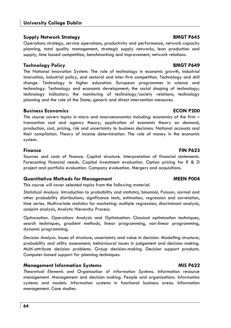#### **University College Dublin**

#### **Supply Network Strategy BMGT P645**

Operations strategy, service operations, productivity and performance, network capacity planning, total quality management, strategic supply networks, lean production and supply, time based competition, benchmarking and improvement, network relations.

#### **Technology Policy BMGT P649**

The National Innovation System. The role of technology in economic growth, industrial innovation, industrial policy, and sectoral and inter-firm competition. Technology and skill change. Technology in higher education. European programmes in science and technology. Technology and economic development; the social shaping of technology; technology indicators; the monitoring of technology/society relations; technology planning and the role of the State; generic and direct intervention measures.

#### **Business Economics ECON P200**

The course covers topics in micro and macroeconomics including: economics of the firm – transaction cost and agency theory; application of economic theory on demand, production, cost, pricing, risk and uncertainty to business decisions. National accounts and their compilation. Theory of income determination. The role of money in the economic system.

Sources and costs of finance. Capital structure. Interpretation of financial statements. Forecasting financial needs. Capital investment evaluation. Option pricing for R & D project and portfolio evaluation. Company evaluation. Mergers and acquisitions.

#### **Quantitative Methods for Management MEEN P004**

This course will cover selected topics from the following material.

*Statistical Analysis.* Introduction to probability and statistics, binomial, Poisson, normal and other probability distributions; significance tests, estimation, regression and correlation, time series. Multivariate statistics for marketing: multiple regression; discriminant analysis, conjoint analysis, Analytic Hierarchy Process.

*Optimisation.* Operations Analysis and Optimisation: Classical optimisation techniques, search techniques, gradient methods, linear programming, non-linear programming, dynamic programming.

*Decision Analysis.* Issues of structure, uncertainty and value in decision. Modelling structure; probability and utility assessment; behavioural issues in judgement and decision making. Multi-attribute decision problems. Group decision-making. Decision support products. Computer-based support for planning techniques.

#### **Management Information Systems MIS P622**

*Theoretical Elements and Organisation of Information Systems.* Information resource management. Management and decision making. People and organisations. Information systems and models. Information systems in functional business areas. Information management. Case studies.

### **Finance FIN P623**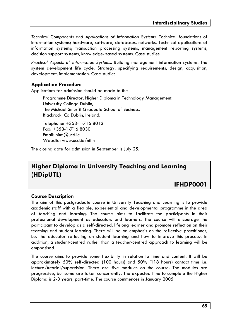*Technical Components and Applications of Information Systems.* Technical foundations of information systems; hardware, software, databases, networks. Technical applications of information systems; transaction processing systems, management reporting systems, decision support systems, knowledge-based systems. Case studies.

*Practical Aspects of Information Systems.* Building management information systems. The system development life cycle. Strategy, specifying requirements, design, acquisition, development, implementation. Case studies.

### **Application Procedure**

Applications for admission should be made to the

Programme Director, Higher Diploma in Technology Management, University College Dublin, The Michael Smurfit Graduate School of Business, Blackrock, Co Dublin, Ireland.

Telephone: +353-1-716 8012 Fax: +353-1-716 8030 Email: nitm@ucd.ie Website: www.ucd.ie/nitm

The closing date for admission in September is July 25.

# **Higher Diploma in University Teaching and Learning (HDipUTL)**

# **IFHDP0001**

### **Course Description**

The aim of this postgraduate course in University Teaching and Learning is to provide academic staff with a flexible, experiential and developmental programme in the area of teaching and learning. The course aims to facilitate the participants in their professional development as educators and learners. The course will encourage the participant to develop as a self-directed, lifelong learner and promote reflection on their teaching and student learning. There will be an emphasis on the reflective practitioner, i.e. the educator reflecting on student learning and how to improve this process. In addition, a student-centred rather than a teacher-centred approach to learning will be emphasised.

The course aims to provide some flexibility in relation to time and content. It will be approximately 50% self-directed (100 hours) and 50% (118 hours) contact time i.e. lecture/tutorial/supervision. There are five modules on the course. The modules are progressive, but some are taken concurrently. The expected time to complete the Higher Diploma is 2-3 years, part-time. The course commences in January 2005.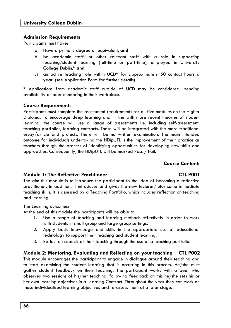#### **Admission Requirements**

Participants must have:

- (a) Have a primary degree or equivalent, **and**
- (b) be academic staff, or other relevant staff with a role in supporting teaching/student learning (full-time or part-time), employed in University College Dublin,\* **and**
- (c) an active teaching role within UCD\* for approximately 50 contact hours a year. (see Application Form for further details)

\* Applications from academic staff outside of UCD may be considered, pending availability of peer mentoring in their workplace.

#### **Course Requirements**

Participants must complete the assessment requirements for all five modules on the Higher Diploma. To encourage deep learning and in line with more recent theories of student learning, the course will use a range of assessments i.e. including self-assessment, teaching portfolios, learning contracts. These will be integrated with the more traditional essay/article and projects. There will be no written examination. The main intended outcome for individuals undertaking the HDipUTL is the improvement of their practice as teachers through the process of identifying opportunities for developing new skills and approaches. Consequently, the HDipUTL will be marked Pass / Fail.

#### **Course Content:**

#### **Module 1: The Reflective Practitioner CTL P001**

The aim this module is to introduce the participant to the idea of becoming a reflective practitioner. In addition, it introduces and gives the new lecturer/tutor some immediate teaching skills. It is assessed by a Teaching Portfolio, which includes reflection on teaching and learning.

#### The Learning outcomes:

At the end of this module the participants will be able to:

- 1. Use a range of teaching and learning methods effectively in order to work with students in small group and large group settings,
- 2. Apply basic knowledge and skills in the appropriate use of educational technology to support their teaching and student learning,
- 3. Reflect on aspects of their teaching through the use of a teaching portfolio.

#### **Module 2: Mentoring, Evaluating and Reflecting on your teaching CTL P002**  This module encourages the participant to engage in dialogue around their teaching and to start examining the student learning that is occurring in this process. He/she must gather student feedback on their teaching. The participant works with a peer who observes two sessions of his/her teaching, following feedback on this he/she sets his or her own learning objectives in a Learning Contract. Throughout the year they can work on these individualised learning objectives and re-assess them at a later stage.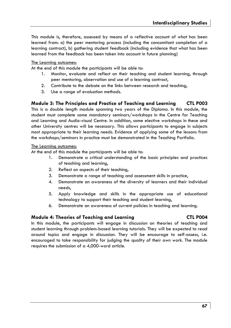This module is, therefore, assessed by means of a reflective account of what has been learned from: a) the peer mentoring process (including the concomitant completion of a learning contract), b) gathering student feedback (including evidence that what has been learned from the feedback has been taken into account in future planning)

#### The Learning outcomes:

At the end of this module the participants will be able to:

- 1. Monitor, evaluate and reflect on their teaching and student learning, through peer mentoring, observation and use of a learning contract,
- 2. Contribute to the debate on the links between research and teaching,
- 3. Use a range of evaluation methods.

#### **Module 3: The Principles and Practice of Teaching and Learning CTL P003**

This is a double length module spanning two years of the Diploma. In this module, the student must complete some mandatory seminars/workshops in the Centre for Teaching and Learning and Audio-visual Centre. In addition, some elective workshops in these and other University centres will be necessary. This allows participants to engage in subjects most appropriate to their learning needs. Evidence of applying some of the lessons from the workshops/seminars in practice must be demonstrated in the Teaching Portfolio.

#### The Learning outcomes:

At the end of this module the participants will be able to:

- 1. Demonstrate a critical understanding of the basic principles and practices of teaching and learning,
- 2. Reflect on aspects of their teaching,
- 3. Demonstrate a range of teaching and assessment skills in practice,
- 4. Demonstrate an awareness of the diversity of learners and their individual needs,
- 5. Apply knowledge and skills in the appropriate use of educational technology to support their teaching and student learning,
- 6. Demonstrate an awareness of current policies in teaching and learning.

#### **Module 4: Theories of Teaching and Learning CTL P004**

In this module, the participants will engage in discussion on theories of teaching and student learning through problem-based learning tutorials. They will be expected to read around topics and engage in discussion. They will be encourage to self-assess, i.e. encouraged to take responsibility for judging the quality of their own work. The module requires the submission of a 4,000-word article.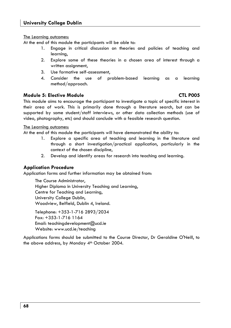The Learning outcomes:

At the end of this module the participants will be able to:

- 1. Engage in critical discussion on theories and policies of teaching and learning,
- 2. Explore some of these theories in a chosen area of interest through a written assignment,
- 3. Use formative self-assessment,
- 4. Consider the use of problem-based learning as a learning method/approach.

### **Module 5: Elective Module CTL P005**

This module aims to encourage the participant to investigate a topic of specific interest in their area of work. This is primarily done through a literature search, but can be supported by some student/staff interviews, or other data collection methods (use of video, photography, etc) and should conclude with a feasible research question.

#### The Learning outcomes:

At the end of this module the participants will have demonstrated the ability to:

- 1. Explore a specific area of teaching and learning in the literature and through a short investigation/practical application, particularly in the context of the chosen discipline,
- 2. Develop and identify areas for research into teaching and learning.

### **Application Procedure**

Application forms and further information may be obtained from:

The Course Administrator, Higher Diploma in University Teaching and Learning, Centre for Teaching and Learning, University College Dublin, Woodview, Belfield, Dublin 4, Ireland.

Telephone: +353-1-716 2893/2034 Fax: +353-1-716 1164 Email: teachingdevelopment@ucd.ie Website: www.ucd.ie/teaching

Applications forms should be submitted to the Course Director, Dr Geraldine O'Neill, to the above address, by Monday 4<sup>th</sup> October 2004.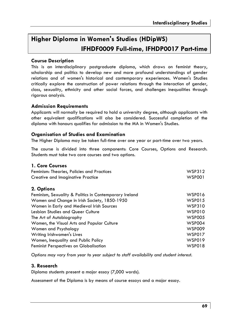# **Higher Diploma in Women's Studies (HDipWS) IFHDF0009 Full-time, IFHDP0017 Part-time**

#### **Course Description**

This is an interdisciplinary postgraduate diploma, which draws on feminist theory, scholarship and politics to develop new and more profound understandings of gender relations and of women's historical and contemporary experiences. Women's Studies critically explore the construction of power relations through the interaction of gender, class, sexuality, ethnicity and other social forces, and challenges inequalities through rigorous analysis.

#### **Admission Requirements**

Applicants will normally be required to hold a university degree, although applicants with other equivalent qualifications will also be considered. Successful completion of the diploma with honours qualifies for admission to the MA in Women's Studies.

#### **Organisation of Studies and Examination**

The Higher Diploma may be taken full-time over one year or part-time over two years.

The course is divided into three components: Core Courses, Options and Research. Students must take two core courses and two options.

### **1. Core Courses**

| Feminism: Theories, Policies and Practices             | WSP312        |
|--------------------------------------------------------|---------------|
| Creative and Imaginative Practice                      | <b>WSP001</b> |
| 2. Options                                             |               |
| Feminism, Sexuality & Politics in Contemporary Ireland | WSP016        |
| Women and Change in Irish Society, 1850-1950           | <b>WSP015</b> |
| Women in Early and Medieval Irish Sources              | WSP310        |
| Lesbian Studies and Queer Culture                      | <b>WSP010</b> |
| The Art of Autobiography                               | <b>WSP005</b> |
| Women, the Visual Arts and Popular Culture             | <b>WSP004</b> |
| Women and Psychology                                   | <b>WSP009</b> |
| Writing Irishwomen's Lives                             | <b>WSP017</b> |
| Women, Inequality and Public Policy                    | <b>WSP019</b> |
| <b>Feminist Perspectives on Globalisation</b>          | <b>WSP018</b> |

*Options may vary from year to year subject to staff availability and student interest.* 

### **3. Research**

Diploma students present a major essay (7,000 words).

Assessment of the Diploma is by means of course essays and a major essay.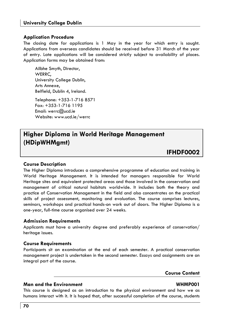#### **Application Procedure**

The closing date for applications is 1 May in the year for which entry is sought. Applications from overseas candidates should be received before 31 March of the year of entry. Late applications will be considered strictly subject to availability of places. Application forms may be obtained from:

Ailbhe Smyth, Director, WERRC, University College Dublin, Arts Annexe, Belfield, Dublin 4, Ireland. Telephone: +353-1-716 8571 Fax: +353-1-716 1195

Email: werrc@ucd.ie Website: www.ucd.ie/werrc

# **Higher Diploma in World Heritage Management (HDipWHMgmt)**

**IFHDF0002** 

#### **Course Description**

The Higher Diploma introduces a comprehensive programme of education and training in World Heritage Management. It is intended for managers responsible for World Heritage sites and equivalent protected areas and those involved in the conservation and management of critical natural habitats worldwide. It includes both the theory and practice of Conservation Management in the field and also concentrates on the practical skills of project assessment, monitoring and evaluation. The course comprises lectures, seminars, workshops and practical hands-on work out of doors. The Higher Diploma is a one-year, full-time course organised over 24 weeks.

#### **Admission Requirements**

Applicants must have a university degree and preferably experience of conservation/ heritage issues.

#### **Course Requirements**

Participants sit an examination at the end of each semester. A practical conservation management project is undertaken in the second semester. Essays and assignments are an integral part of the course.

**Course Content** 

#### **Man and the Environment WHMP001**

This course is designed as an introduction to the physical environment and how we as humans interact with it. It is hoped that, after successful completion of the course, students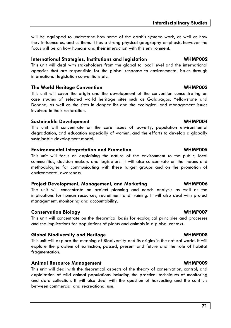will be equipped to understand how some of the earth's systems work, as well as how they influence us, and us them. It has a strong physical geography emphasis, however the focus will be on how humans and their interaction with this environment.

#### **International Strategies, Institutions and legislation WHMP002**

This unit will deal with stakeholders from the global to local level and the international agencies that are responsible for the global response to environmental issues through international legislation conventions etc.

#### **The World Heritage Convention WHMP003**

This unit will cover the origin and the development of the convention concentrating on case studies of selected world heritage sites such as Galapagos, Yellowstone and Donana, as well as the sites in danger list and the ecological and management issues involved in their restoration.

#### **Sustainable Development WHMP004**

This unit will concentrate on the core issues of poverty, population environmental degradation, and education especially of women, and the efforts to develop a globally sustainable development model.

#### **Environmental Interpretation and Promotion WHMP005**

This unit will focus on explaining the nature of the environment to the public, local communities, decision makers and legislators. It will also concentrate on the means and methodologies for communicating with these target groups and on the promotion of environmental awareness.

### **Project Development, Management, and Marketing WHMP006**

The unit will concentrate on project planning and needs analysis as well as the implications for human resources, recruitment and training. It will also deal with project management, monitoring and accountability.

### **Conservation Biology WHMP007**

This unit will concentrate on the theoretical basis for ecological principles and processes and the implications for populations of plants and animals in a global context.

### **Global Biodiversity and Heritage WHMP008**

This unit will explore the meaning of Biodiversity and its origins in the natural world. It will explore the problem of extinction, passed, present and future and the role of habitat fragmentation.

### **Animal Resource Management WHMP009**

This unit will deal with the theoretical aspects of the theory of conservation, control, and exploitation of wild animal populations including the practical techniques of monitoring and data collection. It will also deal with the question of harvesting and the conflicts between commercial and recreational use.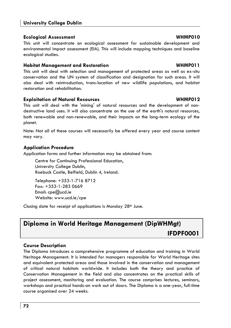#### **Ecological Assessment WHMP010**

This unit will concentrate on ecological assessment for sustainable development and environmental impact assessment (EIA). This will include mapping techniques and baseline ecological studies.

#### **Habitat Management and Restoration WHMP011**

This unit will deal with selection and management of protected areas as well as ex-situ conservation and the UN system of classification and designation for such areas. It will also deal with reintroduction, trans-location of new wildlife populations, and habitat restoration and rehabilitation.

### **Exploitation of Natural Resources WHMP012**

This unit will deal with the 'mining' of natural resources and the development of nondestructive land uses. It will also concentrate on the use of the earth's natural resources, both renewable and non-renewable, and their impacts on the long-term ecology of the planet.

Note: Not all of these courses will necessarily be offered every year and course content may vary.

### **Application Procedure**

Application forms and further information may be obtained from:

Centre for Continuing Professional Education, University College Dublin, Roebuck Castle, Belfield, Dublin 4, Ireland.

Telephone: +353-1-716 8712 Fax: +353-1-283 0669 Email: cpe@ucd.ie Website: www.ucd.ie/cpe

Closing date for receipt of applications is Monday  $28<sup>th</sup>$  June.

# **Diploma in World Heritage Management (DipWHMgt) IFDPF0001**

### **Course Description**

The Diploma introduces a comprehensive programme of education and training in World Heritage Management. It is intended for managers responsible for World Heritage sites and equivalent protected areas and those involved in the conservation and management of critical natural habitats worldwide. It includes both the theory and practice of Conservation Management in the field and also concentrates on the practical skills of project assessment, monitoring and evaluation. The course comprises lectures, seminars, workshops and practical hands-on work out of doors. The Diploma is a one-year, full-time course organised over 24 weeks.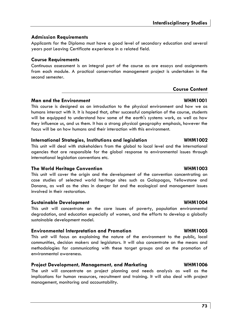## **Admission Requirements**

Applicants for the Diploma must have a good level of secondary education and several years post Leaving Certificate experience in a related field.

## **Course Requirements**

Continuous assessment is an integral part of the course as are essays and assignments from each module. A practical conservation management project is undertaken in the second semester.

## **Course Content**

## **Man and the Environment WHM1001**

This course is designed as an introduction to the physical environment and how we as humans interact with it. It is hoped that, after successful completion of the course, students will be equipped to understand how some of the earth's systems work, as well as how they influence us, and us them. It has a strong physical geography emphasis, however the focus will be on how humans and their interaction with this environment.

## **International Strategies, Institutions and legislation WHM1002**

This unit will deal with stakeholders from the global to local level and the international agencies that are responsible for the global response to environmental issues through international legislation conventions etc.

## **The World Heritage Convention WHM1003**

This unit will cover the origin and the development of the convention concentrating on case studies of selected world heritage sites such as Galapagos, Yellowstone and Donana, as well as the sites in danger list and the ecological and management issues involved in their restoration.

## **Sustainable Development WHM1004**

This unit will concentrate on the core issues of poverty, population environmental degradation, and education especially of women, and the efforts to develop a globally sustainable development model.

## **Environmental Interpretation and Promotion WHM1005**

This unit will focus on explaining the nature of the environment to the public, local communities, decision makers and legislators. It will also concentrate on the means and methodologies for communicating with these target groups and on the promotion of environmental awareness.

## **Project Development, Management, and Marketing WHM1006**

The unit will concentrate on project planning and needs analysis as well as the implications for human resources, recruitment and training. It will also deal with project management, monitoring and accountability.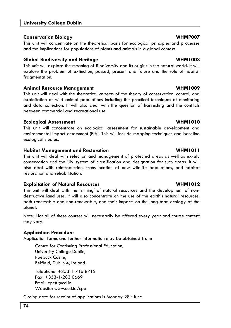### **Conservation Biology WHMP007**

This unit will concentrate on the theoretical basis for ecological principles and processes and the implications for populations of plants and animals in a global context.

### **Global Biodiversity and Heritage WHM1008**

This unit will explore the meaning of Biodiversity and its origins in the natural world. It will explore the problem of extinction, passed, present and future and the role of habitat fragmentation.

### **Animal Resource Management WHM1009**

This unit will deal with the theoretical aspects of the theory of conservation, control, and exploitation of wild animal populations including the practical techniques of monitoring and data collection. It will also deal with the question of harvesting and the conflicts between commercial and recreational use.

### **Ecological Assessment WHM1010**

This unit will concentrate on ecological assessment for sustainable development and environmental impact assessment (EIA). This will include mapping techniques and baseline ecological studies.

### **Habitat Management and Restoration WHM1011**

This unit will deal with selection and management of protected areas as well as ex-situ conservation and the UN system of classification and designation for such areas. It will also deal with reintroduction, trans-location of new wildlife populations, and habitat restoration and rehabilitation.

### **Exploitation of Natural Resources WHM1012**

This unit will deal with the 'mining' of natural resources and the development of nondestructive land uses. It will also concentrate on the use of the earth's natural resources, both renewable and non-renewable, and their impacts on the long-term ecology of the planet.

Note: Not all of these courses will necessarily be offered every year and course content may vary.

## **Application Procedure**

Application forms and further information may be obtained from:

Centre for Continuing Professional Education, University College Dublin, Roebuck Castle, Belfield, Dublin 4, Ireland.

Telephone: +353-1-716 8712 Fax: +353-1-283 0669 Email: cpe@ucd.ie Website: www.ucd.ie/cpe

Closing date for receipt of applications is Monday 28<sup>th</sup> June.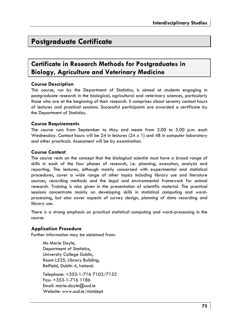# **Postgraduate Certificate**

# **Certificate in Research Methods for Postgraduates in Biology, Agriculture and Veterinary Medicine**

### **Course Description**

This course, run by the Department of Statistics, is aimed at students engaging in postgraduate research in the biological, agricultural and veterinary sciences, particularly those who are at the beginning of their research. It comprises about seventy contact hours of lectures and practical sessions. Successful participants are awarded a certificate by the Department of Statistics.

### **Course Requirements**

The course runs from September to May and meets from 2.00 to 5.00 p.m. each Wednesday. Contact hours will be 24 in lectures  $(24 \times 1)$  and 48 in computer laboratory and other practicals. Assessment will be by examination.

### **Course Content**

The course rests on the concept that the biological scientist must have a broad range of skills in each of the four phases of research, i.e. planning, execution, analysis and reporting. The lectures, although mainly concerned with experimental and statistical procedures, cover a wide range of other topics including library use and literature sources, recording methods and the legal and environmental framework for animal research. Training is also given in the presentation of scientific material. The practical sessions concentrate mainly on developing skills in statistical computing and wordprocessing, but also cover aspects of survey design, planning of data recording and library use.

There is a strong emphasis on practical statistical computing and word-processing in the course.

### **Application Procedure**

Further information may be obtained from:

Ms Marie Doyle, Department of Statistics, University College Dublin, Room L535, Library Building, Belfield, Dublin 4, Ireland.

Telephone: +353-1-716 7103/7152 Fax: +353-1-716 1186 Email: marie.doyle@ucd.ie Website: www.ucd.ie/statdept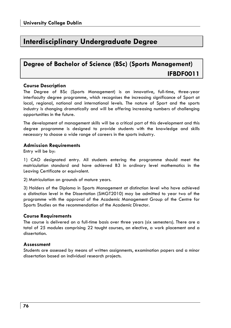# **Interdisciplinary Undergraduate Degree**

# **Degree of Bachelor of Science (BSc) (Sports Management) IFBDF0011**

### **Course Description**

The Degree of BSc (Sports Management) is an innovative, full-time, three-year interfaculty degree programme, which recognises the increasing significance of Sport at local, regional, national and international levels. The nature of Sport and the sports industry is changing dramatically and will be offering increasing numbers of challenging opportunities in the future.

The development of management skills will be a critical part of this development and this degree programme is designed to provide students with the knowledge and skills necessary to choose a wide range of careers in the sports industry.

### **Admission Requirements**

Entry will be by:

1) CAO designated entry. All students entering the programme should meet the matriculation standard and have achieved B3 in ordinary level mathematics in the Leaving Certificate or equivalent.

2) Matriculation on grounds of mature years.

3) Holders of the Diploma in Sports Management at distinction level who have achieved a distinction level in the Dissertation (SMGT2010) may be admitted to year two of the programme with the approval of the Academic Management Group of the Centre for Sports Studies on the recommendation of the Academic Director.

### **Course Requirements**

The course is delivered on a full-time basis over three years (six semesters). There are a total of 25 modules comprising 22 taught courses, an elective, a work placement and a dissertation.

### **Assessment**

Students are assessed by means of written assignments, examination papers and a minor dissertation based on individual research projects.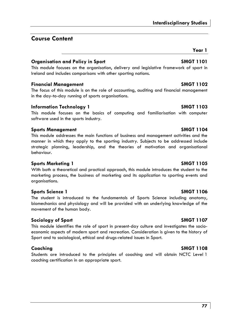## **Course Content**

### **Organisation and Policy in Sport SMGT 1101**

This module focuses on the organisation, delivery and legislative framework of sport in Ireland and includes comparisons with other sporting nations.

### **Financial Management SMGT 1102**

The focus of this module is on the role of accounting, auditing and financial management in the day-to-day running of sports organisations.

### **Information Technology 1 SMGT 1103**

This module focuses on the basics of computing and familiarisation with computer software used in the sports industry.

### **Sports Management Communist SMGT 1104**

This module addresses the main functions of business and management activities and the manner in which they apply to the sporting industry. Subjects to be addressed include strategic planning, leadership, and the theories of motivation and organisational behaviour.

### **Sports Marketing 1 SMGT 1105**

With both a theoretical and practical approach, this module introduces the student to the marketing process, the business of marketing and its application to sporting events and organisations.

### **Sports Science 1** SMGT 1106

The student is introduced to the fundamentals of Sports Science including anatomy, biomechanics and physiology and will be provided with an underlying knowledge of the movement of the human body.

### **Sociology of Sport SMGT 1107**

This module identifies the role of sport in present-day culture and investigates the socioeconomic aspects of modern sport and recreation. Consideration is given to the history of Sport and to sociological, ethical and drugs-related issues in Sport.

Students are introduced to the principles of coaching and will obtain NCTC Level 1 coaching certification in an appropriate sport.

### **Coaching SMGT 1108**

**Year 1**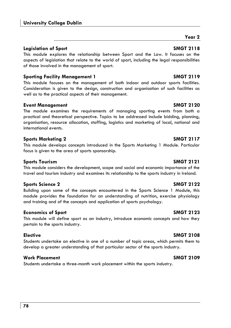### **Legislation of Sport SMGT 2118**

This module explores the relationship between Sport and the Law. It focuses on the aspects of legislation that relate to the world of sport, including the legal responsibilities of those involved in the management of sport.

### **Sporting Facility Management 1 SMGT 2119**

This module focuses on the management of both indoor and outdoor sports facilities. Consideration is given to the design, construction and organisation of such facilities as well as to the practical aspects of their management.

### **Event Management SMGT 2120**

The module examines the requirements of managing sporting events from both a practical and theoretical perspective. Topics to be addressed include bidding, planning, organisation, resource allocation, staffing, logistics and marketing of local, national and international events.

### **Sports Marketing 2** SMGT 2117

This module develops concepts introduced in the Sports Marketing 1 Module. Particular focus is given to the area of sports sponsorship.

### Sports Tourism **SMGT 2121**

This module considers the development, scope and social and economic importance of the travel and tourism industry and examines its relationship to the sports industry in Ireland.

### **Sports Science 2 SMGT 2122**

Building upon some of the concepts encountered in the Sports Science 1 Module, this module provides the foundation for an understanding of nutrition, exercise physiology and training and of the concepts and application of sports psychology.

### **Economics of Sport SMGT 2123**

This module will define sport as an industry, introduce economic concepts and how they pertain to the sports industry.

Students undertake an elective in one of a number of topic areas, which permits them to develop a greater understanding of that particular sector of the sports industry.

### **Work Placement SMGT 2109**

Students undertake a three-month work placement within the sports industry.

## **Elective SMGT 2108**

**Year 2**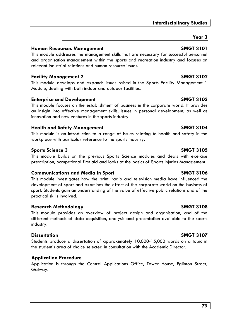## **Interdisciplinary Studies**

## **Year 3**

## **Human Resources Management Communist Communist Communist Communist Communist Communist Communist Communist Communist Communist Communist Communist Communist Communist Communist Communist Communist Communist Communist Comm**

This module addresses the management skills that are necessary for successful personnel and organisation management within the sports and recreation industry and focuses on relevant industrial relations and human resource issues.

## **Facility Management 2 SMGT 3102**

This module develops and expands issues raised in the Sports Facility Management 1 Module, dealing with both indoor and outdoor facilities.

## **Enterprise and Development Constrainers and SMGT 3103**

This module focuses on the establishment of business in the corporate world. It provides an insight into effective management skills, issues in personal development, as well as innovation and new ventures in the sports industry.

## **Health and Safety Management SMGT 3104**

This module is an introduction to a range of issues relating to health and safety in the workplace with particular reference to the sports industry.

## **Sports Science 3 SMGT 3105**

This module builds on the previous Sports Science modules and deals with exercise prescription, occupational first aid and looks at the basics of Sports Injuries Management.

## **Communications and Media in Sport SMGT 3106**

This module investigates how the print, radio and television media have influenced the development of sport and examines the effect of the corporate world on the business of sport. Students gain an understanding of the value of effective public relations and of the practical skills involved.

## **Research Methodology SMGT 3108**

This module provides an overview of project design and organisation, and of the different methods of data acquisition, analysis and presentation available to the sports industry.

## **Dissertation SMGT 3107**

Students produce a dissertation of approximately 10,000-15,000 words on a topic in the student's area of choice selected in consultation with the Academic Director.

## **Application Procedure**

Application is through the Central Applications Office, Tower House, Eglinton Street, Galway.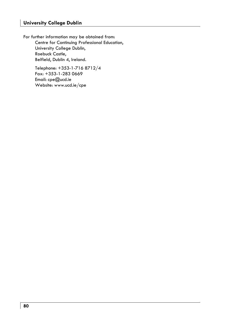For further information may be obtained from: Centre for Continuing Professional Education, University College Dublin, Roebuck Castle, Belfield, Dublin 4, Ireland.

> Telephone: +353-1-716 8712/4 Fax: +353-1-283 0669 Email: cpe@ucd.ie Website: www.ucd.ie/cpe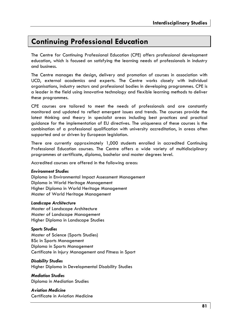# **Continuing Professional Education**

The Centre for Continuing Professional Education (CPE) offers professional development education, which is focused on satisfying the learning needs of professionals in industry and business.

The Centre manages the design, delivery and promotion of courses in association with UCD, external academics and experts. The Centre works closely with individual organisations, industry sectors and professional bodies in developing programmes. CPE is a leader in the field using innovative technology and flexible learning methods to deliver these programmes.

CPE courses are tailored to meet the needs of professionals and are constantly monitored and updated to reflect emergent issues and trends. The courses provide the latest thinking and theory in specialist areas including best practices and practical guidance for the implementation of EU directives. The uniqueness of these courses is the combination of a professional qualification with university accreditation, in areas often supported and or driven by European legislation.

There are currently approximately 1,000 students enrolled in accredited Continuing Professional Education courses. The Centre offers a wide variety of multidisciplinary programmes at certificate, diploma, bachelor and master degrees level.

Accredited courses are offered in the following areas:

### *Environment Studies*

Diploma in Environmental Impact Assessment Management Diploma in World Heritage Management Higher Diploma in World Heritage Management Master of World Heritage Management

### *Landscape Architecture*

Master of Landscape Architecture Master of Landscape Management Higher Diploma in Landscape Studies

### *Sports Studies*

Master of Science (Sports Studies) BSc in Sports Management Diploma in Sports Management Certificate in Injury Management and Fitness in Sport

### *Disability Studies*

Higher Diploma in Developmental Disability Studies

*Mediation Studies*  Diploma in Mediation Studies

*Aviation Medicine*  Certificate in Aviation Medicine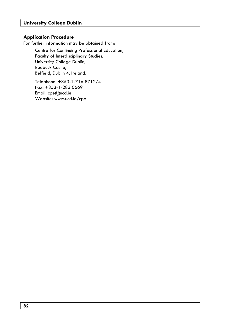### **Application Procedure**

For further information may be obtained from:

Centre for Continuing Professional Education, Faculty of Interdisciplinary Studies, University College Dublin, Roebuck Castle, Belfield, Dublin 4, Ireland.

Telephone: +353-1-716 8712/4 Fax: +353-1-283 0669 Email: cpe@ucd.ie Website: www.ucd.ie/cpe